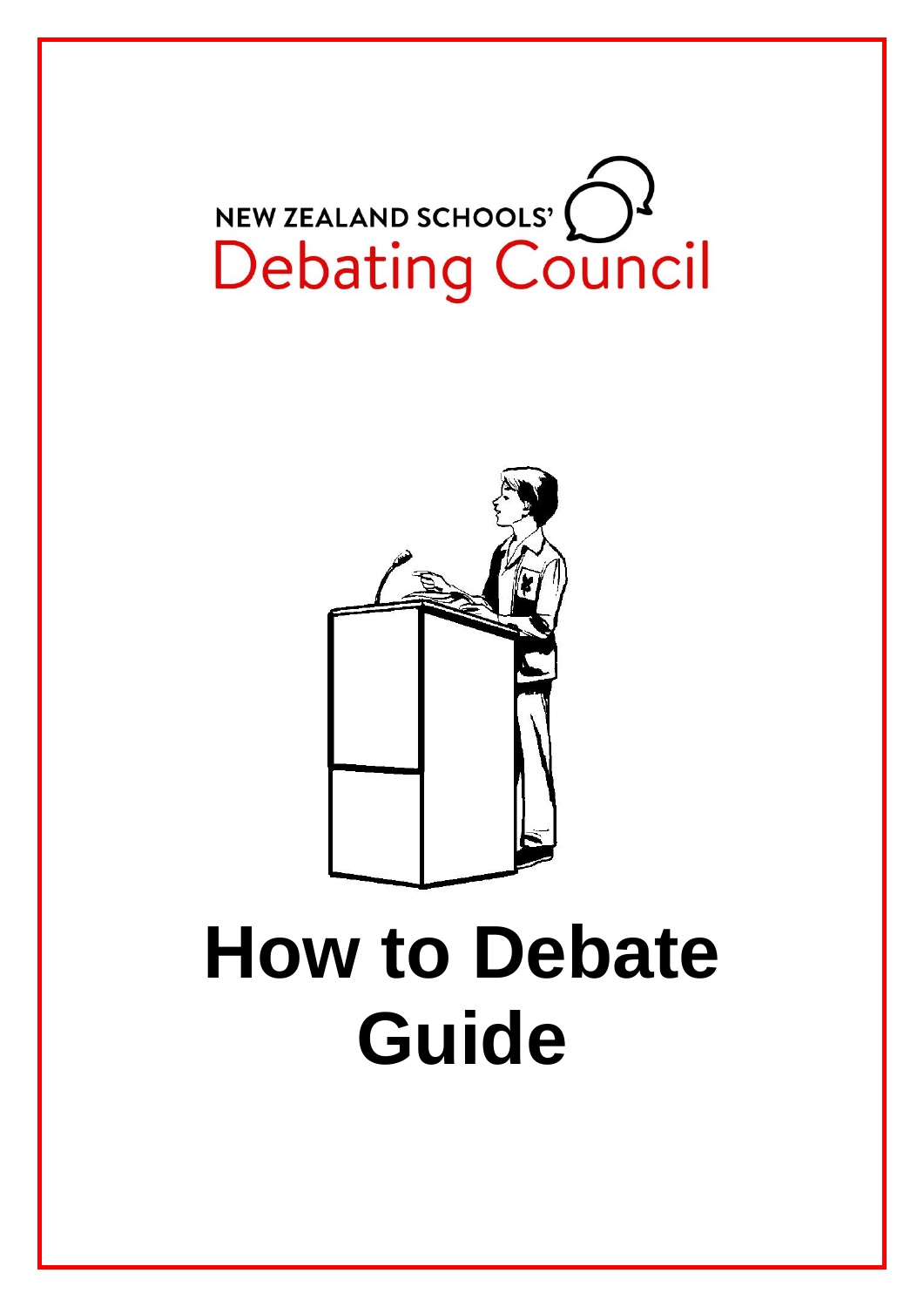



# **How to Debate Guide**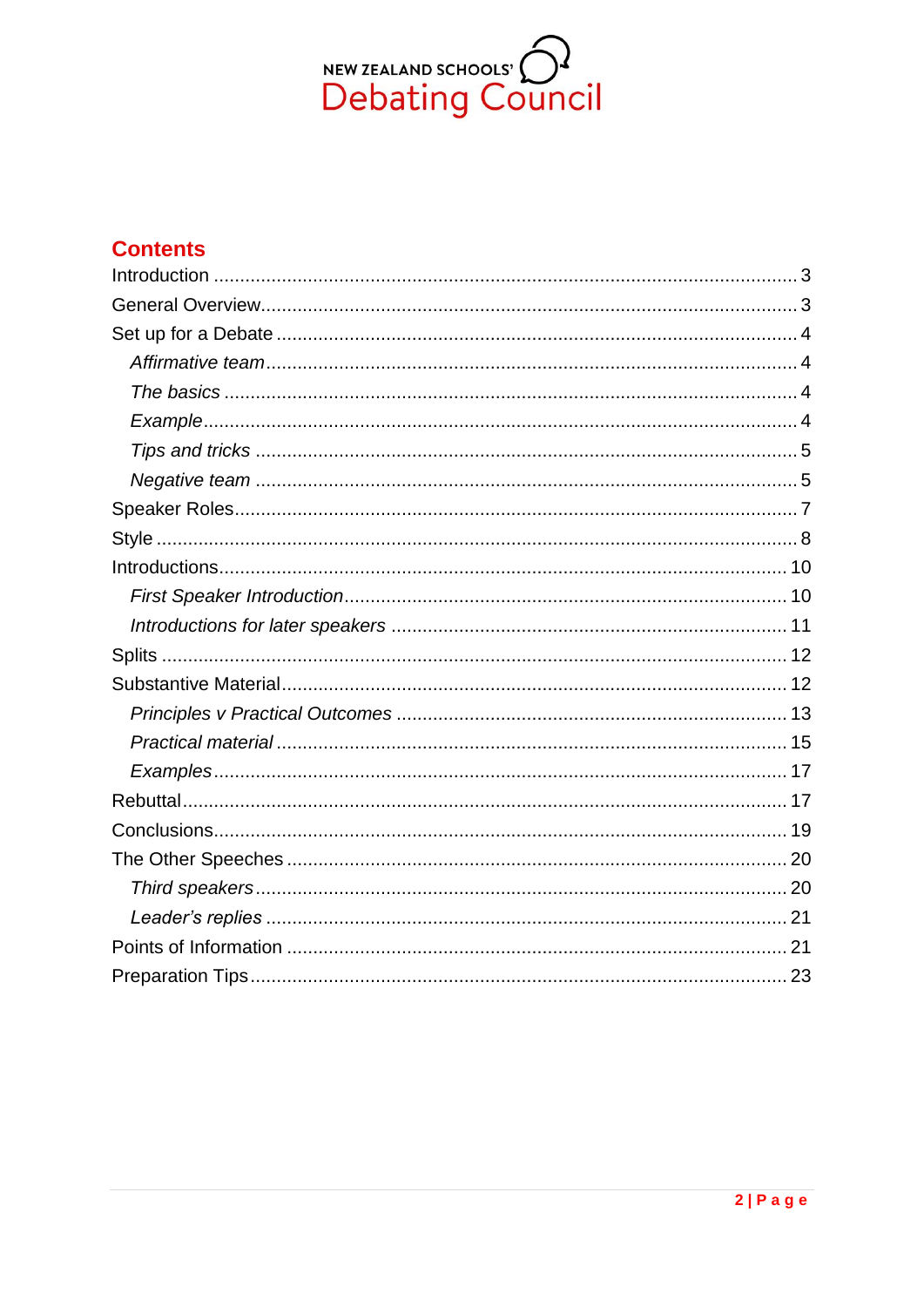

## **Contents**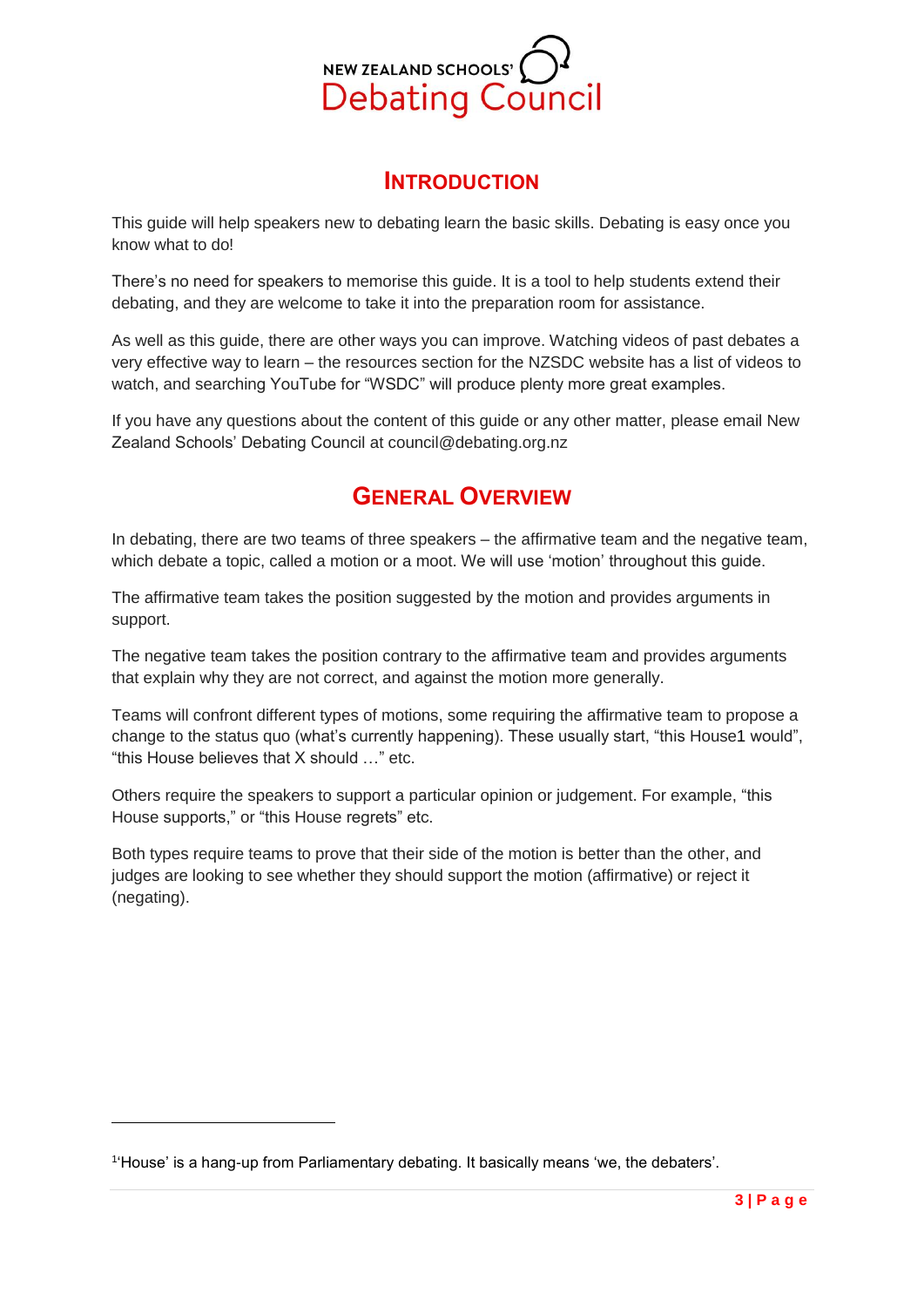

## **INTRODUCTION**

<span id="page-2-0"></span>This guide will help speakers new to debating learn the basic skills. Debating is easy once you know what to do!

There's no need for speakers to memorise this guide. It is a tool to help students extend their debating, and they are welcome to take it into the preparation room for assistance.

As well as this guide, there are other ways you can improve. Watching videos of past debates a very effective way to learn – the resources section for the NZSDC website has a list of videos to watch, and searching YouTube for "WSDC" will produce plenty more great examples.

<span id="page-2-1"></span>If you have any questions about the content of this guide or any other matter, please email New Zealand Schools' Debating Council at council@debating.org.nz

## **GENERAL OVERVIEW**

In debating, there are two teams of three speakers – the affirmative team and the negative team, which debate a topic, called a motion or a moot. We will use 'motion' throughout this guide.

The affirmative team takes the position suggested by the motion and provides arguments in support.

The negative team takes the position contrary to the affirmative team and provides arguments that explain why they are not correct, and against the motion more generally.

Teams will confront different types of motions, some requiring the affirmative team to propose a change to the status quo (what's currently happening). These usually start, "this House1 would", "this House believes that X should …" etc.

Others require the speakers to support a particular opinion or judgement. For example, "this House supports," or "this House regrets" etc.

Both types require teams to prove that their side of the motion is better than the other, and judges are looking to see whether they should support the motion (affirmative) or reject it (negating).

1

<sup>1</sup> 'House' is a hang-up from Parliamentary debating. It basically means 'we, the debaters'.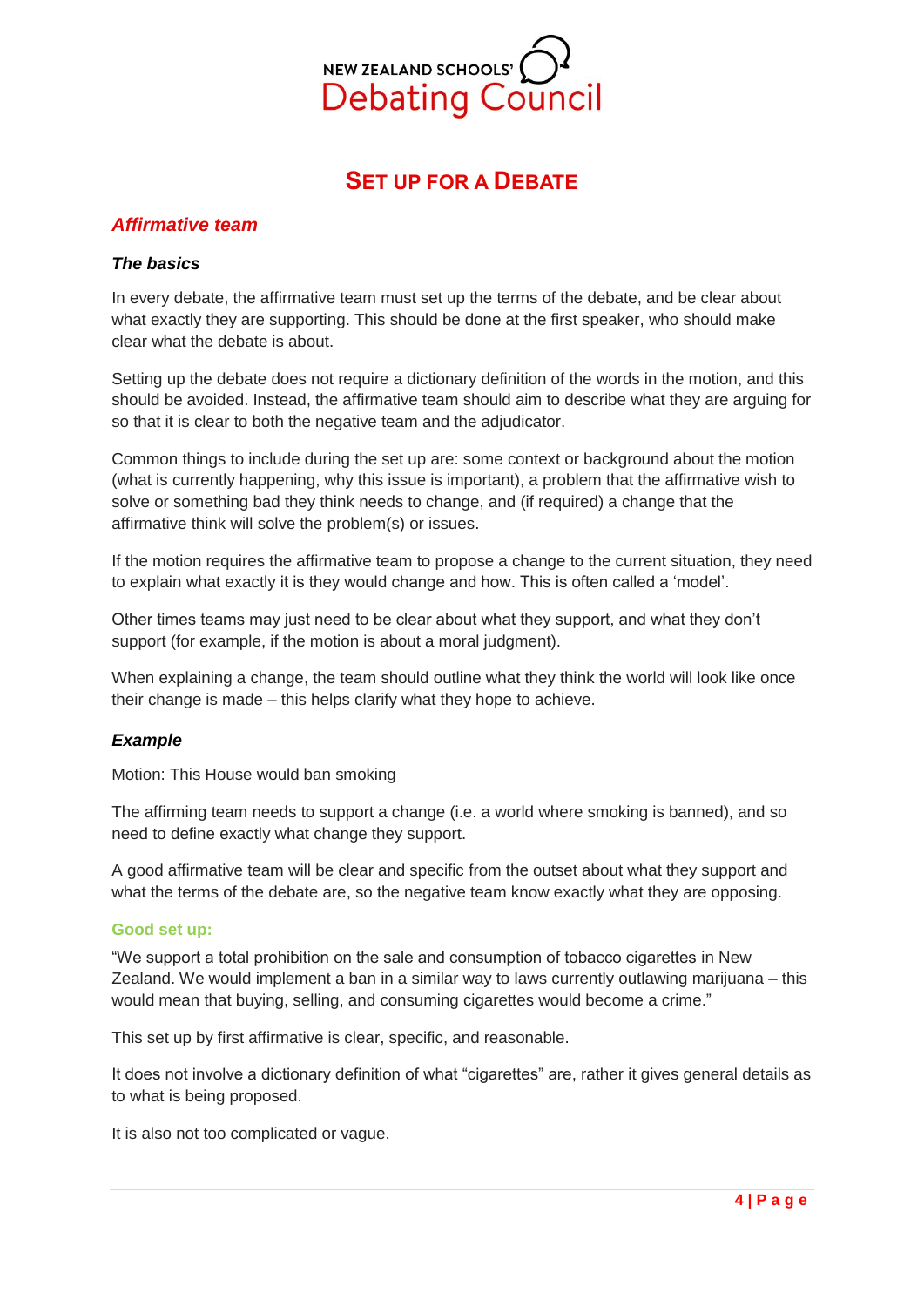

# **SET UP FOR A DEBATE**

#### <span id="page-3-1"></span><span id="page-3-0"></span>*Affirmative team*

#### <span id="page-3-2"></span>*The basics*

In every debate, the affirmative team must set up the terms of the debate, and be clear about what exactly they are supporting. This should be done at the first speaker, who should make clear what the debate is about.

Setting up the debate does not require a dictionary definition of the words in the motion, and this should be avoided. Instead, the affirmative team should aim to describe what they are arguing for so that it is clear to both the negative team and the adjudicator.

Common things to include during the set up are: some context or background about the motion (what is currently happening, why this issue is important), a problem that the affirmative wish to solve or something bad they think needs to change, and (if required) a change that the affirmative think will solve the problem(s) or issues.

If the motion requires the affirmative team to propose a change to the current situation, they need to explain what exactly it is they would change and how. This is often called a 'model'.

Other times teams may just need to be clear about what they support, and what they don't support (for example, if the motion is about a moral judgment).

When explaining a change, the team should outline what they think the world will look like once their change is made – this helps clarify what they hope to achieve.

#### <span id="page-3-3"></span>*Example*

Motion: This House would ban smoking

The affirming team needs to support a change (i.e. a world where smoking is banned), and so need to define exactly what change they support.

A good affirmative team will be clear and specific from the outset about what they support and what the terms of the debate are, so the negative team know exactly what they are opposing.

#### **Good set up:**

"We support a total prohibition on the sale and consumption of tobacco cigarettes in New Zealand. We would implement a ban in a similar way to laws currently outlawing marijuana – this would mean that buying, selling, and consuming cigarettes would become a crime."

This set up by first affirmative is clear, specific, and reasonable.

It does not involve a dictionary definition of what "cigarettes" are, rather it gives general details as to what is being proposed.

It is also not too complicated or vague.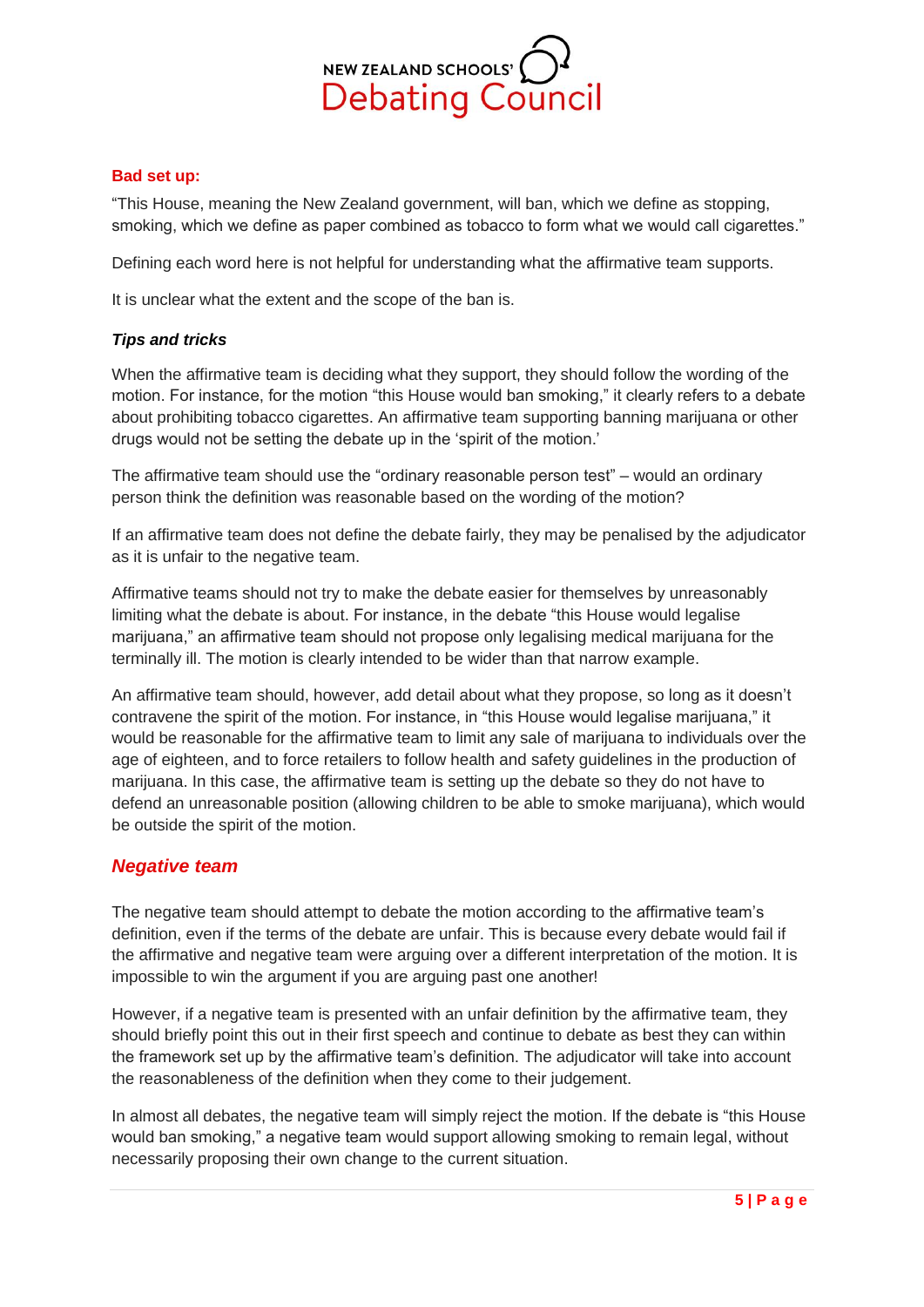

#### **Bad set up:**

"This House, meaning the New Zealand government, will ban, which we define as stopping, smoking, which we define as paper combined as tobacco to form what we would call cigarettes."

Defining each word here is not helpful for understanding what the affirmative team supports.

It is unclear what the extent and the scope of the ban is.

#### <span id="page-4-0"></span>*Tips and tricks*

When the affirmative team is deciding what they support, they should follow the wording of the motion. For instance, for the motion "this House would ban smoking," it clearly refers to a debate about prohibiting tobacco cigarettes. An affirmative team supporting banning marijuana or other drugs would not be setting the debate up in the 'spirit of the motion.'

The affirmative team should use the "ordinary reasonable person test" – would an ordinary person think the definition was reasonable based on the wording of the motion?

If an affirmative team does not define the debate fairly, they may be penalised by the adjudicator as it is unfair to the negative team.

Affirmative teams should not try to make the debate easier for themselves by unreasonably limiting what the debate is about. For instance, in the debate "this House would legalise marijuana," an affirmative team should not propose only legalising medical marijuana for the terminally ill. The motion is clearly intended to be wider than that narrow example.

An affirmative team should, however, add detail about what they propose, so long as it doesn't contravene the spirit of the motion. For instance, in "this House would legalise marijuana," it would be reasonable for the affirmative team to limit any sale of marijuana to individuals over the age of eighteen, and to force retailers to follow health and safety guidelines in the production of marijuana. In this case, the affirmative team is setting up the debate so they do not have to defend an unreasonable position (allowing children to be able to smoke marijuana), which would be outside the spirit of the motion.

### <span id="page-4-1"></span>*Negative team*

The negative team should attempt to debate the motion according to the affirmative team's definition, even if the terms of the debate are unfair. This is because every debate would fail if the affirmative and negative team were arguing over a different interpretation of the motion. It is impossible to win the argument if you are arguing past one another!

However, if a negative team is presented with an unfair definition by the affirmative team, they should briefly point this out in their first speech and continue to debate as best they can within the framework set up by the affirmative team's definition. The adjudicator will take into account the reasonableness of the definition when they come to their judgement.

In almost all debates, the negative team will simply reject the motion. If the debate is "this House would ban smoking," a negative team would support allowing smoking to remain legal, without necessarily proposing their own change to the current situation.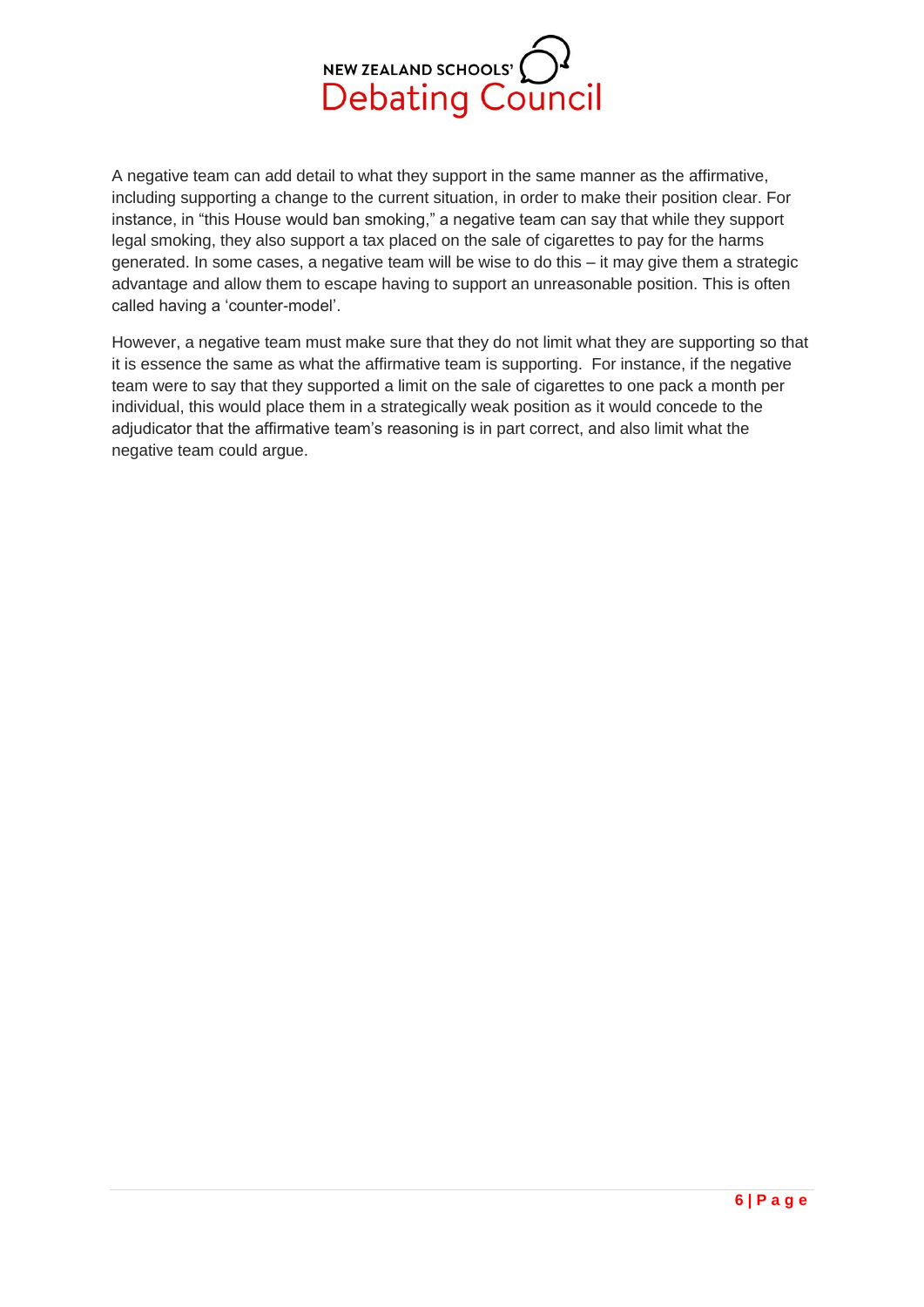

A negative team can add detail to what they support in the same manner as the affirmative, including supporting a change to the current situation, in order to make their position clear. For instance, in "this House would ban smoking," a negative team can say that while they support legal smoking, they also support a tax placed on the sale of cigarettes to pay for the harms generated. In some cases, a negative team will be wise to do this – it may give them a strategic advantage and allow them to escape having to support an unreasonable position. This is often called having a 'counter-model'.

However, a negative team must make sure that they do not limit what they are supporting so that it is essence the same as what the affirmative team is supporting. For instance, if the negative team were to say that they supported a limit on the sale of cigarettes to one pack a month per individual, this would place them in a strategically weak position as it would concede to the adjudicator that the affirmative team's reasoning is in part correct, and also limit what the negative team could argue.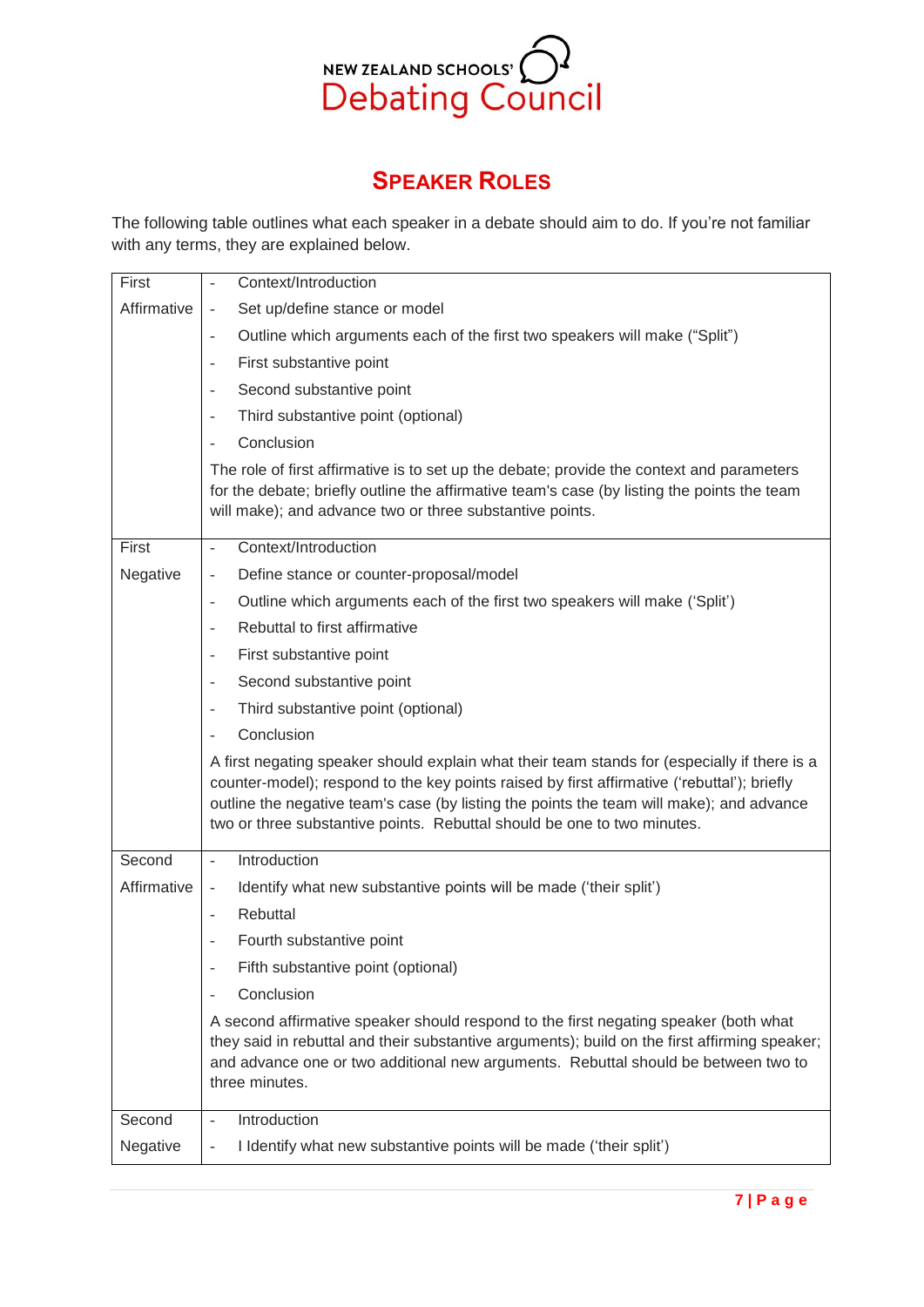

# **SPEAKER ROLES**

<span id="page-6-0"></span>The following table outlines what each speaker in a debate should aim to do. If you're not familiar with any terms, they are explained below.

| First       | Context/Introduction<br>$\bar{\phantom{a}}$                                                                                                                                                                                                                                                                                                                        |
|-------------|--------------------------------------------------------------------------------------------------------------------------------------------------------------------------------------------------------------------------------------------------------------------------------------------------------------------------------------------------------------------|
| Affirmative | Set up/define stance or model<br>$\bar{\phantom{a}}$                                                                                                                                                                                                                                                                                                               |
|             | Outline which arguments each of the first two speakers will make ("Split")<br>$\overline{\phantom{a}}$                                                                                                                                                                                                                                                             |
|             | First substantive point<br>$\overline{\phantom{a}}$                                                                                                                                                                                                                                                                                                                |
|             | Second substantive point<br>$\overline{\phantom{a}}$                                                                                                                                                                                                                                                                                                               |
|             | Third substantive point (optional)<br>$\overline{\phantom{a}}$                                                                                                                                                                                                                                                                                                     |
|             | Conclusion<br>$\sim$                                                                                                                                                                                                                                                                                                                                               |
|             | The role of first affirmative is to set up the debate; provide the context and parameters<br>for the debate; briefly outline the affirmative team's case (by listing the points the team<br>will make); and advance two or three substantive points.                                                                                                               |
| First       | Context/Introduction<br>$\overline{a}$                                                                                                                                                                                                                                                                                                                             |
| Negative    | Define stance or counter-proposal/model<br>$\overline{\phantom{a}}$                                                                                                                                                                                                                                                                                                |
|             | Outline which arguments each of the first two speakers will make ('Split')<br>$\overline{\phantom{a}}$                                                                                                                                                                                                                                                             |
|             | Rebuttal to first affirmative<br>$\overline{\phantom{a}}$                                                                                                                                                                                                                                                                                                          |
|             | First substantive point<br>$\overline{\phantom{a}}$                                                                                                                                                                                                                                                                                                                |
|             | Second substantive point<br>$\overline{\phantom{a}}$                                                                                                                                                                                                                                                                                                               |
|             | Third substantive point (optional)<br>$\overline{\phantom{a}}$                                                                                                                                                                                                                                                                                                     |
|             | Conclusion                                                                                                                                                                                                                                                                                                                                                         |
|             | A first negating speaker should explain what their team stands for (especially if there is a<br>counter-model); respond to the key points raised by first affirmative ('rebuttal'); briefly<br>outline the negative team's case (by listing the points the team will make); and advance<br>two or three substantive points. Rebuttal should be one to two minutes. |
| Second      | Introduction<br>$\bar{\mathcal{L}}$                                                                                                                                                                                                                                                                                                                                |
| Affirmative | Identify what new substantive points will be made ('their split')<br>$\overline{\phantom{a}}$                                                                                                                                                                                                                                                                      |
|             | Rebuttal<br>$\overline{\phantom{a}}$                                                                                                                                                                                                                                                                                                                               |
|             | Fourth substantive point<br>$\overline{\phantom{a}}$                                                                                                                                                                                                                                                                                                               |
|             | Fifth substantive point (optional)                                                                                                                                                                                                                                                                                                                                 |
|             | Conclusion<br>$\overline{\phantom{a}}$                                                                                                                                                                                                                                                                                                                             |
|             | A second affirmative speaker should respond to the first negating speaker (both what<br>they said in rebuttal and their substantive arguments); build on the first affirming speaker;<br>and advance one or two additional new arguments. Rebuttal should be between two to<br>three minutes.                                                                      |
| Second      | Introduction<br>$\Box$                                                                                                                                                                                                                                                                                                                                             |
| Negative    | I Identify what new substantive points will be made ('their split')<br>$\bar{\phantom{a}}$                                                                                                                                                                                                                                                                         |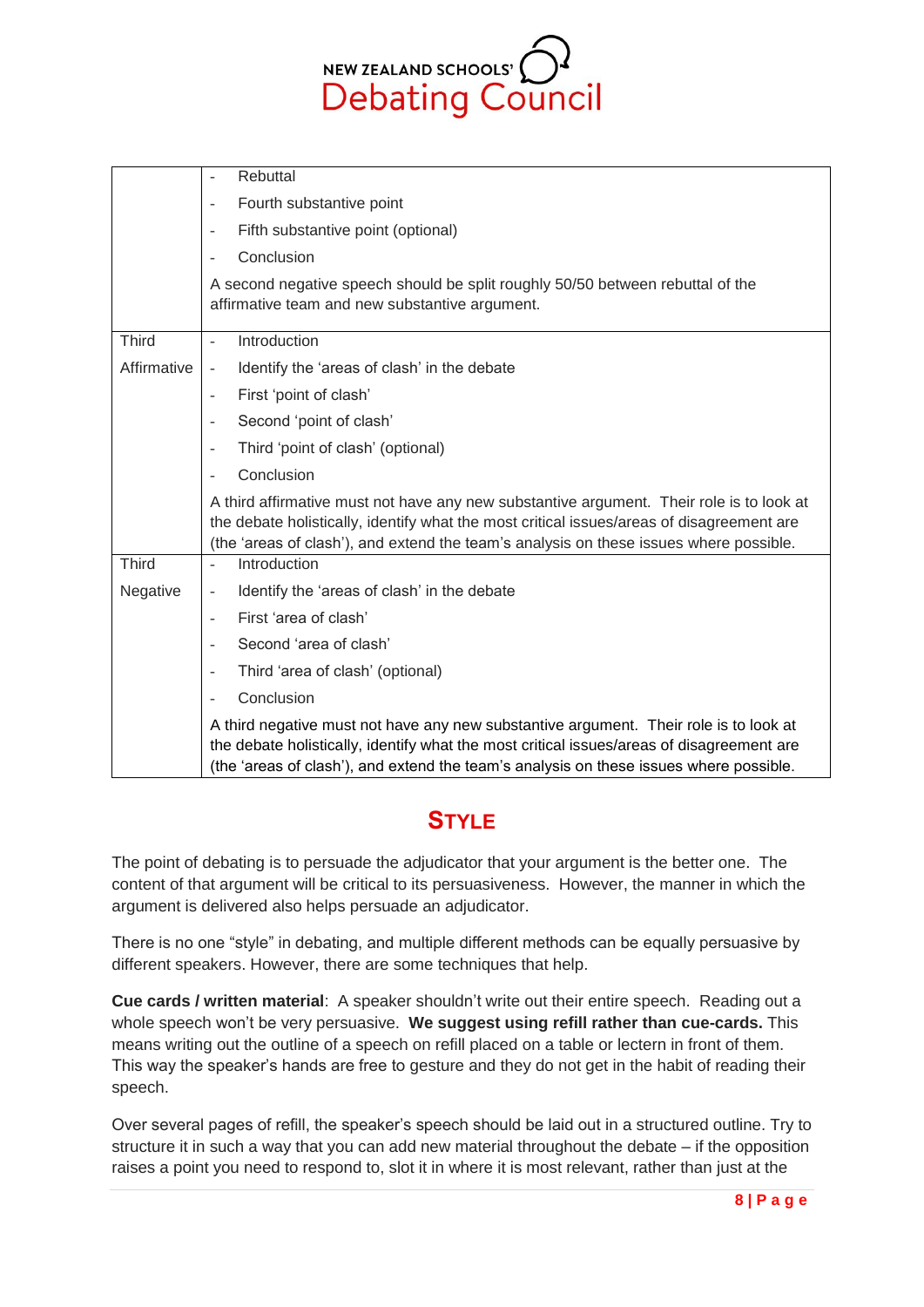NEW ZEALAND SCHOOLS' <sup>1</sup>

|              | Rebuttal<br>÷,                                                                                                                                                                                                                                                                  |
|--------------|---------------------------------------------------------------------------------------------------------------------------------------------------------------------------------------------------------------------------------------------------------------------------------|
|              | Fourth substantive point<br>÷,                                                                                                                                                                                                                                                  |
|              | Fifth substantive point (optional)<br>÷,                                                                                                                                                                                                                                        |
|              | Conclusion<br>L,                                                                                                                                                                                                                                                                |
|              | A second negative speech should be split roughly 50/50 between rebuttal of the<br>affirmative team and new substantive argument.                                                                                                                                                |
| <b>Third</b> | Introduction<br>$\overline{a}$                                                                                                                                                                                                                                                  |
| Affirmative  | Identify the 'areas of clash' in the debate<br>$\overline{a}$                                                                                                                                                                                                                   |
|              | First 'point of clash'<br>$\sim$                                                                                                                                                                                                                                                |
|              | Second 'point of clash'<br>-                                                                                                                                                                                                                                                    |
|              | Third 'point of clash' (optional)<br>÷,                                                                                                                                                                                                                                         |
|              | Conclusion<br>L,                                                                                                                                                                                                                                                                |
|              | A third affirmative must not have any new substantive argument. Their role is to look at<br>the debate holistically, identify what the most critical issues/areas of disagreement are<br>(the 'areas of clash'), and extend the team's analysis on these issues where possible. |
| <b>Third</b> | Introduction<br>÷,                                                                                                                                                                                                                                                              |
| Negative     | Identify the 'areas of clash' in the debate<br>$\overline{\phantom{a}}$                                                                                                                                                                                                         |
|              | First 'area of clash'<br>÷,                                                                                                                                                                                                                                                     |
|              | Second 'area of clash'<br>$\overline{a}$                                                                                                                                                                                                                                        |
|              | Third 'area of clash' (optional)<br>۰                                                                                                                                                                                                                                           |
|              | Conclusion<br>-                                                                                                                                                                                                                                                                 |
|              | A third negative must not have any new substantive argument. Their role is to look at<br>the debate holistically, identify what the most critical issues/areas of disagreement are<br>(the 'areas of clash'), and extend the team's analysis on these issues where possible.    |

## **STYLE**

<span id="page-7-0"></span>The point of debating is to persuade the adjudicator that your argument is the better one. The content of that argument will be critical to its persuasiveness. However, the manner in which the argument is delivered also helps persuade an adjudicator.

There is no one "style" in debating, and multiple different methods can be equally persuasive by different speakers. However, there are some techniques that help.

**Cue cards / written material**: A speaker shouldn't write out their entire speech. Reading out a whole speech won't be very persuasive. **We suggest using refill rather than cue-cards.** This means writing out the outline of a speech on refill placed on a table or lectern in front of them. This way the speaker's hands are free to gesture and they do not get in the habit of reading their speech.

Over several pages of refill, the speaker's speech should be laid out in a structured outline. Try to structure it in such a way that you can add new material throughout the debate – if the opposition raises a point you need to respond to, slot it in where it is most relevant, rather than just at the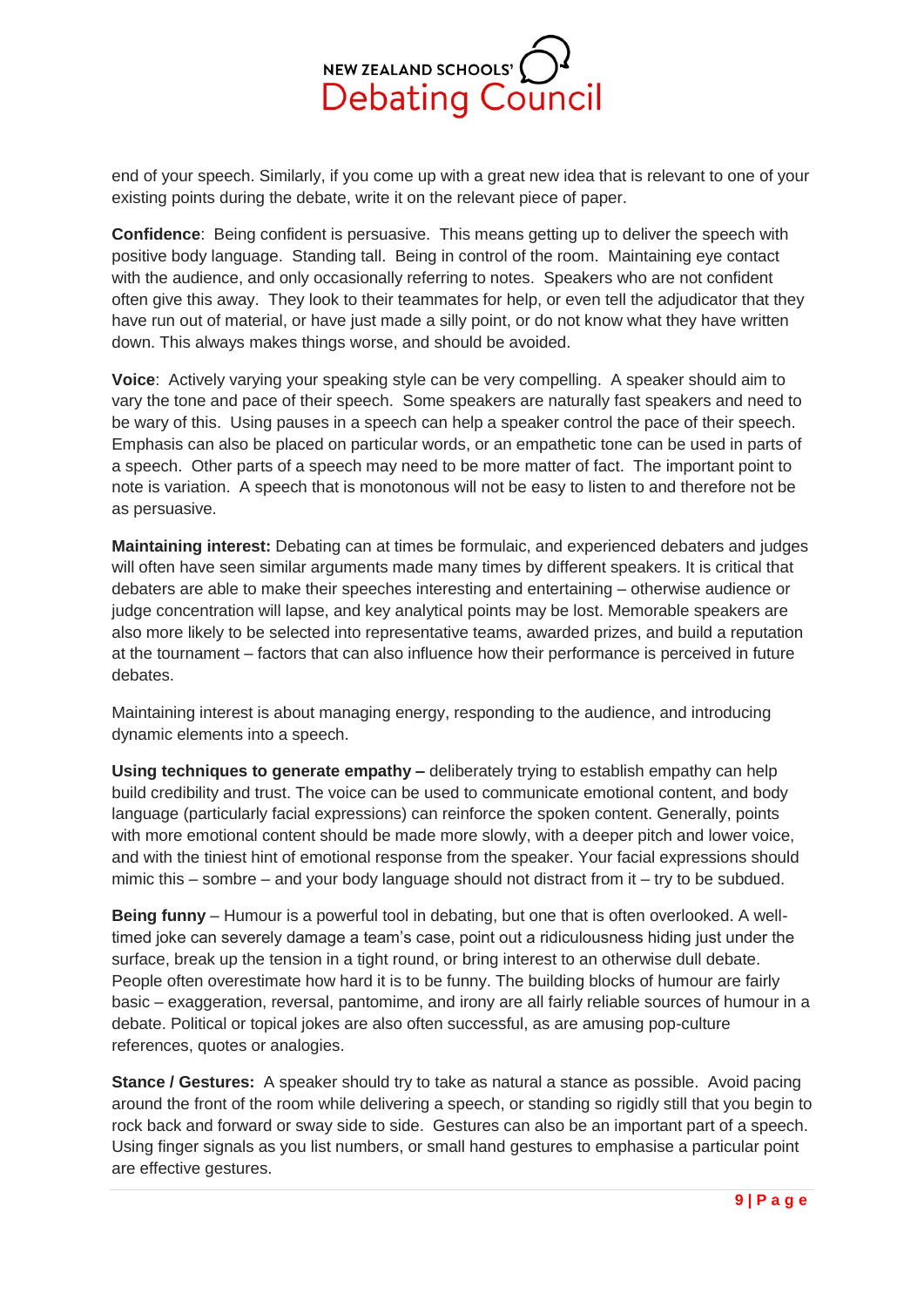

end of your speech. Similarly, if you come up with a great new idea that is relevant to one of your existing points during the debate, write it on the relevant piece of paper.

**Confidence**: Being confident is persuasive. This means getting up to deliver the speech with positive body language. Standing tall. Being in control of the room. Maintaining eye contact with the audience, and only occasionally referring to notes. Speakers who are not confident often give this away. They look to their teammates for help, or even tell the adjudicator that they have run out of material, or have just made a silly point, or do not know what they have written down. This always makes things worse, and should be avoided.

**Voice**: Actively varying your speaking style can be very compelling. A speaker should aim to vary the tone and pace of their speech. Some speakers are naturally fast speakers and need to be wary of this. Using pauses in a speech can help a speaker control the pace of their speech. Emphasis can also be placed on particular words, or an empathetic tone can be used in parts of a speech. Other parts of a speech may need to be more matter of fact. The important point to note is variation. A speech that is monotonous will not be easy to listen to and therefore not be as persuasive.

**Maintaining interest:** Debating can at times be formulaic, and experienced debaters and judges will often have seen similar arguments made many times by different speakers. It is critical that debaters are able to make their speeches interesting and entertaining – otherwise audience or judge concentration will lapse, and key analytical points may be lost. Memorable speakers are also more likely to be selected into representative teams, awarded prizes, and build a reputation at the tournament – factors that can also influence how their performance is perceived in future debates.

Maintaining interest is about managing energy, responding to the audience, and introducing dynamic elements into a speech.

**Using techniques to generate empathy –** deliberately trying to establish empathy can help build credibility and trust. The voice can be used to communicate emotional content, and body language (particularly facial expressions) can reinforce the spoken content. Generally, points with more emotional content should be made more slowly, with a deeper pitch and lower voice, and with the tiniest hint of emotional response from the speaker. Your facial expressions should mimic this – sombre – and your body language should not distract from it – try to be subdued.

**Being funny** – Humour is a powerful tool in debating, but one that is often overlooked. A welltimed joke can severely damage a team's case, point out a ridiculousness hiding just under the surface, break up the tension in a tight round, or bring interest to an otherwise dull debate. People often overestimate how hard it is to be funny. The building blocks of humour are fairly basic – exaggeration, reversal, pantomime, and irony are all fairly reliable sources of humour in a debate. Political or topical jokes are also often successful, as are amusing pop-culture references, quotes or analogies.

**Stance / Gestures:** A speaker should try to take as natural a stance as possible. Avoid pacing around the front of the room while delivering a speech, or standing so rigidly still that you begin to rock back and forward or sway side to side. Gestures can also be an important part of a speech. Using finger signals as you list numbers, or small hand gestures to emphasise a particular point are effective gestures.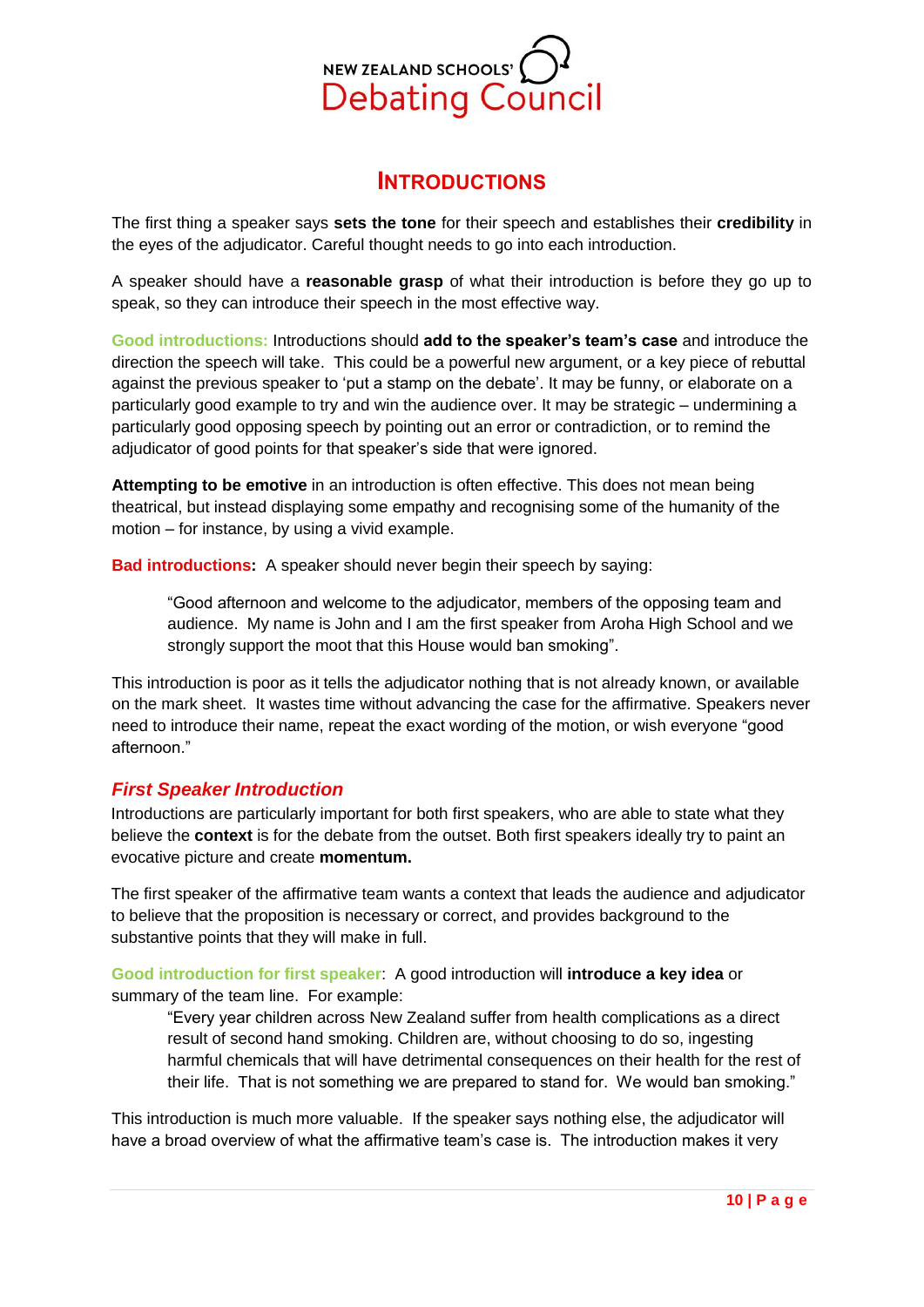

## **INTRODUCTIONS**

<span id="page-9-0"></span>The first thing a speaker says **sets the tone** for their speech and establishes their **credibility** in the eyes of the adjudicator. Careful thought needs to go into each introduction.

A speaker should have a **reasonable grasp** of what their introduction is before they go up to speak, so they can introduce their speech in the most effective way.

**Good introductions:** Introductions should **add to the speaker's team's case** and introduce the direction the speech will take. This could be a powerful new argument, or a key piece of rebuttal against the previous speaker to 'put a stamp on the debate'. It may be funny, or elaborate on a particularly good example to try and win the audience over. It may be strategic – undermining a particularly good opposing speech by pointing out an error or contradiction, or to remind the adjudicator of good points for that speaker's side that were ignored.

**Attempting to be emotive** in an introduction is often effective. This does not mean being theatrical, but instead displaying some empathy and recognising some of the humanity of the motion – for instance, by using a vivid example.

**Bad introductions:** A speaker should never begin their speech by saying:

"Good afternoon and welcome to the adjudicator, members of the opposing team and audience. My name is John and I am the first speaker from Aroha High School and we strongly support the moot that this House would ban smoking".

This introduction is poor as it tells the adjudicator nothing that is not already known, or available on the mark sheet. It wastes time without advancing the case for the affirmative. Speakers never need to introduce their name, repeat the exact wording of the motion, or wish everyone "good afternoon."

### <span id="page-9-1"></span>*First Speaker Introduction*

Introductions are particularly important for both first speakers, who are able to state what they believe the **context** is for the debate from the outset. Both first speakers ideally try to paint an evocative picture and create **momentum.**

The first speaker of the affirmative team wants a context that leads the audience and adjudicator to believe that the proposition is necessary or correct, and provides background to the substantive points that they will make in full.

**Good introduction for first speaker**: A good introduction will **introduce a key idea** or summary of the team line. For example:

"Every year children across New Zealand suffer from health complications as a direct result of second hand smoking. Children are, without choosing to do so, ingesting harmful chemicals that will have detrimental consequences on their health for the rest of their life. That is not something we are prepared to stand for. We would ban smoking."

This introduction is much more valuable. If the speaker says nothing else, the adjudicator will have a broad overview of what the affirmative team's case is. The introduction makes it very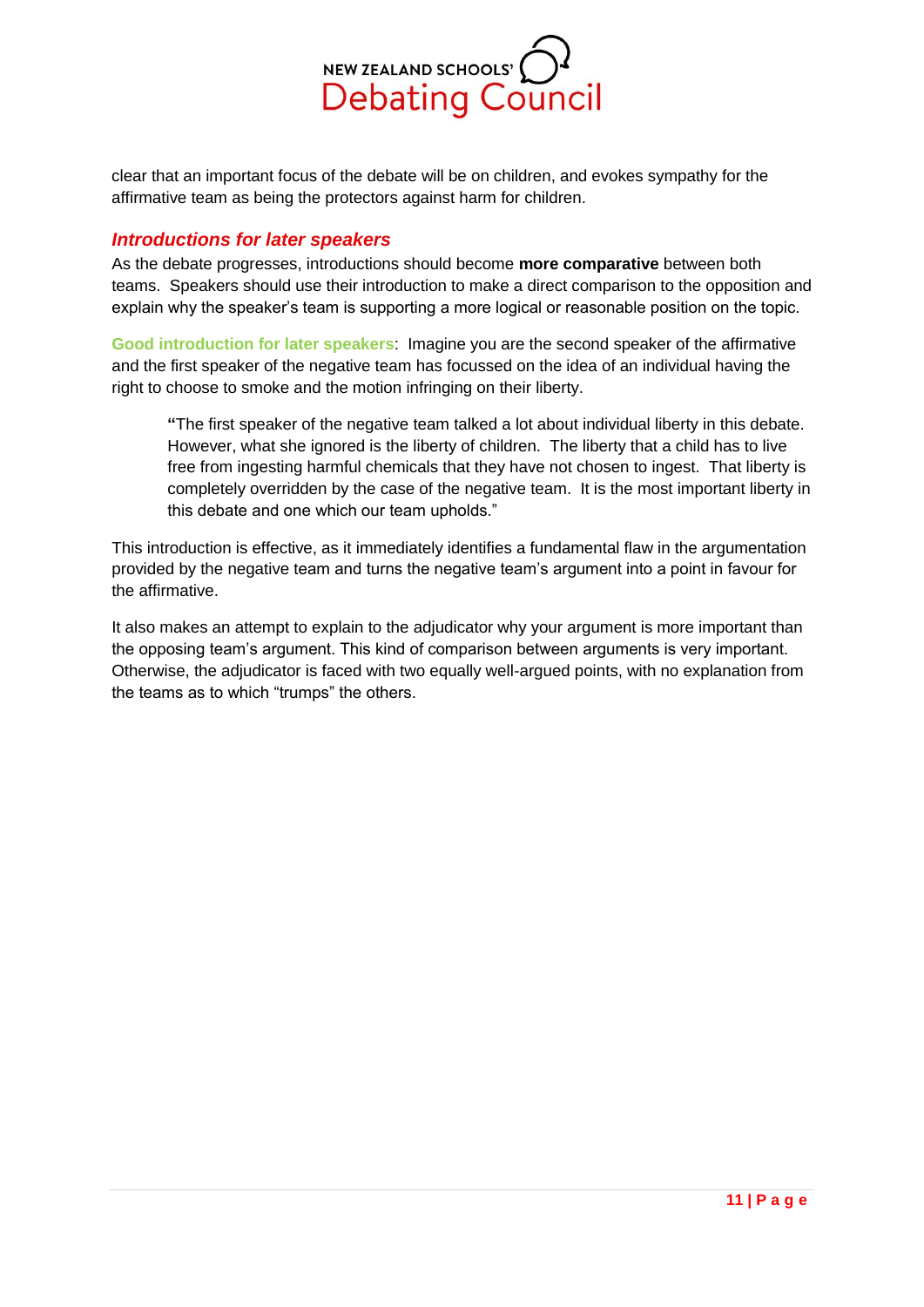

clear that an important focus of the debate will be on children, and evokes sympathy for the affirmative team as being the protectors against harm for children.

### <span id="page-10-0"></span>*Introductions for later speakers*

As the debate progresses, introductions should become **more comparative** between both teams. Speakers should use their introduction to make a direct comparison to the opposition and explain why the speaker's team is supporting a more logical or reasonable position on the topic.

**Good introduction for later speakers**: Imagine you are the second speaker of the affirmative and the first speaker of the negative team has focussed on the idea of an individual having the right to choose to smoke and the motion infringing on their liberty.

**"**The first speaker of the negative team talked a lot about individual liberty in this debate. However, what she ignored is the liberty of children. The liberty that a child has to live free from ingesting harmful chemicals that they have not chosen to ingest. That liberty is completely overridden by the case of the negative team. It is the most important liberty in this debate and one which our team upholds."

This introduction is effective, as it immediately identifies a fundamental flaw in the argumentation provided by the negative team and turns the negative team's argument into a point in favour for the affirmative.

It also makes an attempt to explain to the adjudicator why your argument is more important than the opposing team's argument. This kind of comparison between arguments is very important. Otherwise, the adjudicator is faced with two equally well-argued points, with no explanation from the teams as to which "trumps" the others.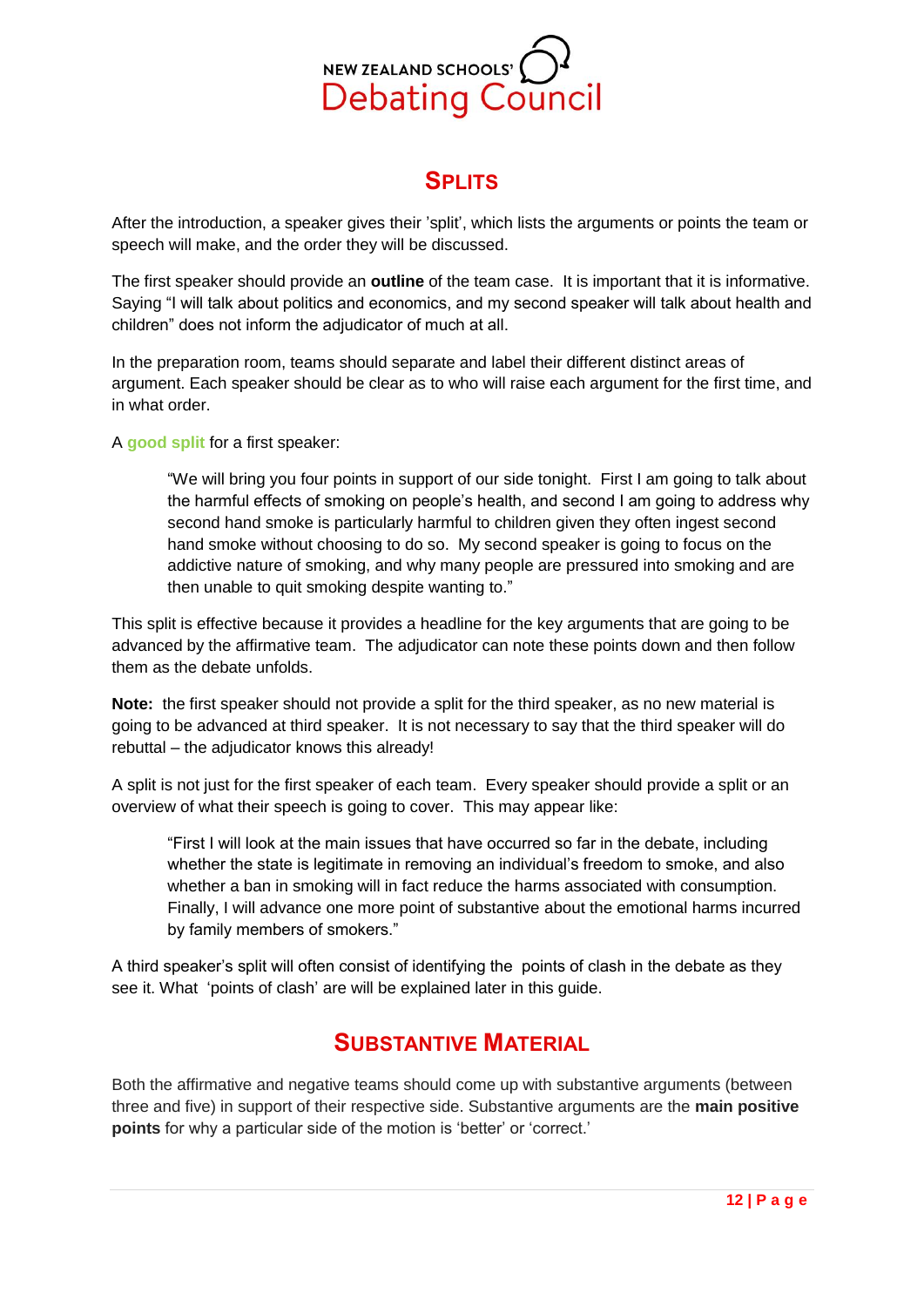

# **SPLITS**

<span id="page-11-0"></span>After the introduction, a speaker gives their 'split', which lists the arguments or points the team or speech will make, and the order they will be discussed.

The first speaker should provide an **outline** of the team case. It is important that it is informative. Saying "I will talk about politics and economics, and my second speaker will talk about health and children" does not inform the adjudicator of much at all.

In the preparation room, teams should separate and label their different distinct areas of argument. Each speaker should be clear as to who will raise each argument for the first time, and in what order.

A **good split** for a first speaker:

"We will bring you four points in support of our side tonight. First I am going to talk about the harmful effects of smoking on people's health, and second I am going to address why second hand smoke is particularly harmful to children given they often ingest second hand smoke without choosing to do so. My second speaker is going to focus on the addictive nature of smoking, and why many people are pressured into smoking and are then unable to quit smoking despite wanting to."

This split is effective because it provides a headline for the key arguments that are going to be advanced by the affirmative team. The adjudicator can note these points down and then follow them as the debate unfolds.

**Note:** the first speaker should not provide a split for the third speaker, as no new material is going to be advanced at third speaker. It is not necessary to say that the third speaker will do rebuttal – the adjudicator knows this already!

A split is not just for the first speaker of each team. Every speaker should provide a split or an overview of what their speech is going to cover. This may appear like:

"First I will look at the main issues that have occurred so far in the debate, including whether the state is legitimate in removing an individual's freedom to smoke, and also whether a ban in smoking will in fact reduce the harms associated with consumption. Finally, I will advance one more point of substantive about the emotional harms incurred by family members of smokers."

<span id="page-11-1"></span>A third speaker's split will often consist of identifying the points of clash in the debate as they see it. What 'points of clash' are will be explained later in this guide.

# **SUBSTANTIVE MATERIAL**

Both the affirmative and negative teams should come up with substantive arguments (between three and five) in support of their respective side. Substantive arguments are the **main positive points** for why a particular side of the motion is 'better' or 'correct.'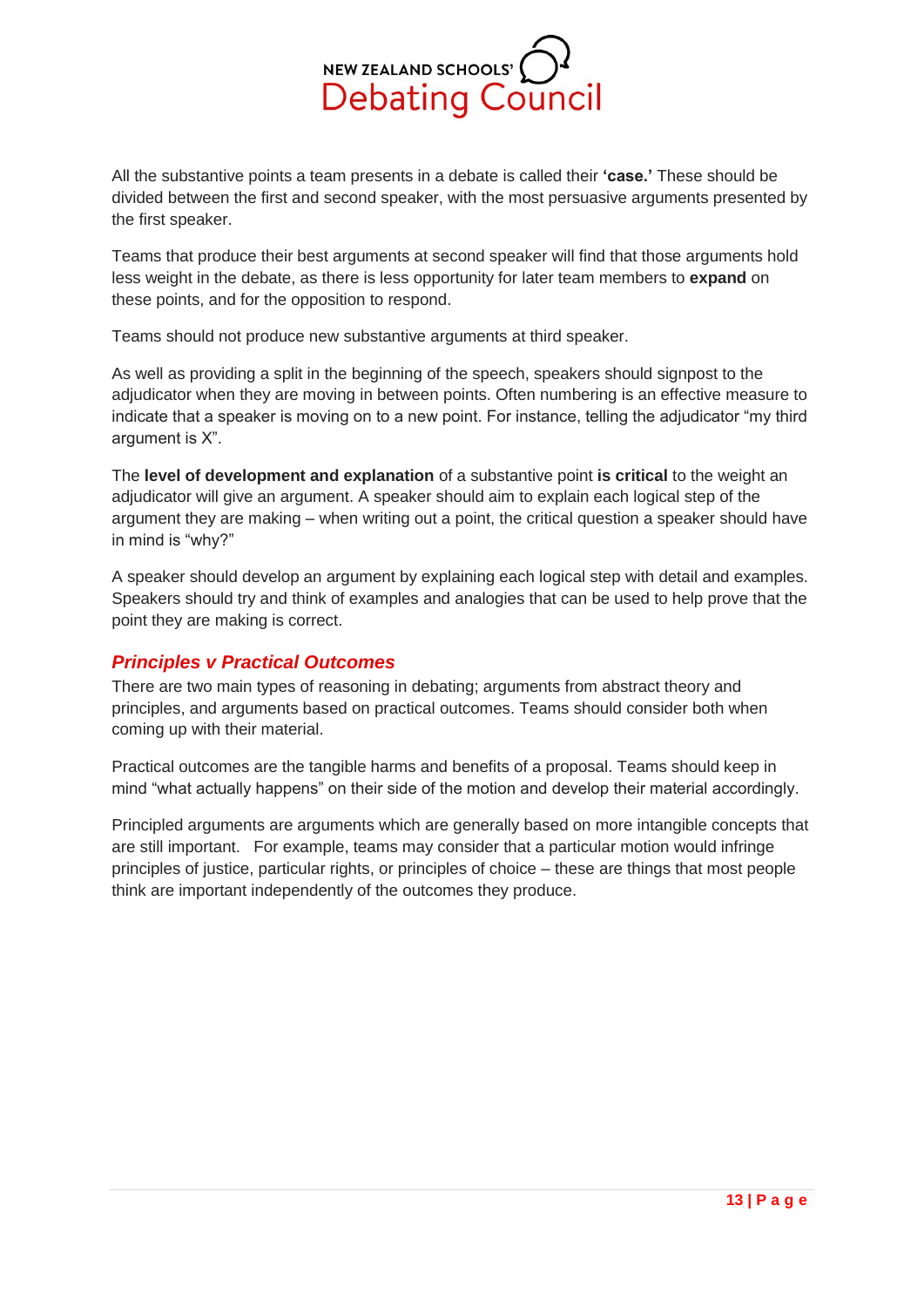

All the substantive points a team presents in a debate is called their **'case.'** These should be divided between the first and second speaker, with the most persuasive arguments presented by the first speaker.

Teams that produce their best arguments at second speaker will find that those arguments hold less weight in the debate, as there is less opportunity for later team members to **expand** on these points, and for the opposition to respond.

Teams should not produce new substantive arguments at third speaker.

As well as providing a split in the beginning of the speech, speakers should signpost to the adjudicator when they are moving in between points. Often numbering is an effective measure to indicate that a speaker is moving on to a new point. For instance, telling the adjudicator "my third argument is X".

The **level of development and explanation** of a substantive point **is critical** to the weight an adjudicator will give an argument. A speaker should aim to explain each logical step of the argument they are making – when writing out a point, the critical question a speaker should have in mind is "why?"

A speaker should develop an argument by explaining each logical step with detail and examples. Speakers should try and think of examples and analogies that can be used to help prove that the point they are making is correct.

## <span id="page-12-0"></span>*Principles v Practical Outcomes*

There are two main types of reasoning in debating; arguments from abstract theory and principles, and arguments based on practical outcomes. Teams should consider both when coming up with their material.

Practical outcomes are the tangible harms and benefits of a proposal. Teams should keep in mind "what actually happens" on their side of the motion and develop their material accordingly.

Principled arguments are arguments which are generally based on more intangible concepts that are still important. For example, teams may consider that a particular motion would infringe principles of justice, particular rights, or principles of choice – these are things that most people think are important independently of the outcomes they produce.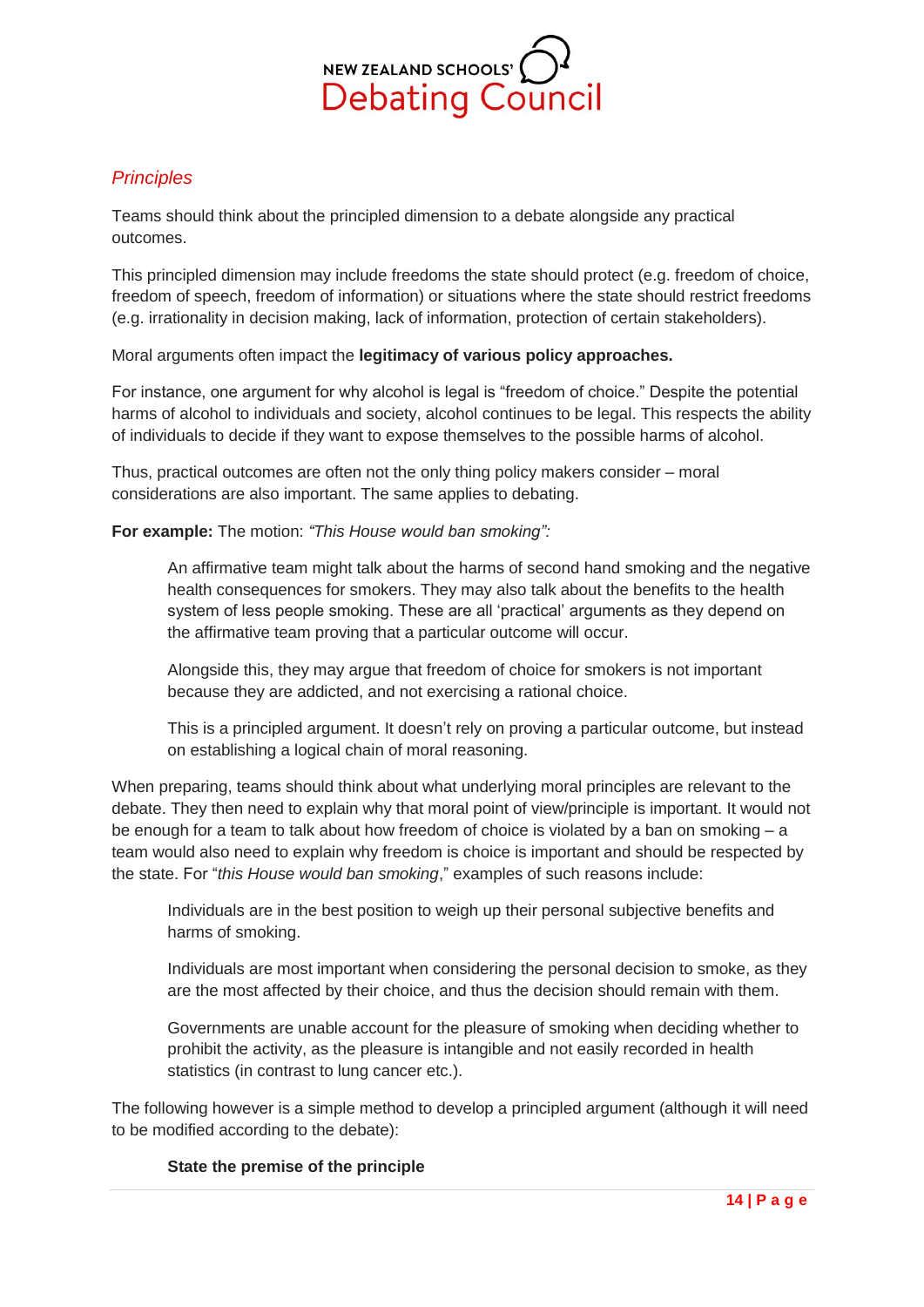

## *Principles*

Teams should think about the principled dimension to a debate alongside any practical outcomes.

This principled dimension may include freedoms the state should protect (e.g. freedom of choice, freedom of speech, freedom of information) or situations where the state should restrict freedoms (e.g. irrationality in decision making, lack of information, protection of certain stakeholders).

## Moral arguments often impact the **legitimacy of various policy approaches.**

For instance, one argument for why alcohol is legal is "freedom of choice." Despite the potential harms of alcohol to individuals and society, alcohol continues to be legal. This respects the ability of individuals to decide if they want to expose themselves to the possible harms of alcohol.

Thus, practical outcomes are often not the only thing policy makers consider – moral considerations are also important. The same applies to debating.

#### **For example:** The motion: *"This House would ban smoking":*

An affirmative team might talk about the harms of second hand smoking and the negative health consequences for smokers. They may also talk about the benefits to the health system of less people smoking. These are all 'practical' arguments as they depend on the affirmative team proving that a particular outcome will occur.

Alongside this, they may argue that freedom of choice for smokers is not important because they are addicted, and not exercising a rational choice.

This is a principled argument. It doesn't rely on proving a particular outcome, but instead on establishing a logical chain of moral reasoning.

When preparing, teams should think about what underlying moral principles are relevant to the debate. They then need to explain why that moral point of view/principle is important. It would not be enough for a team to talk about how freedom of choice is violated by a ban on smoking – a team would also need to explain why freedom is choice is important and should be respected by the state. For "*this House would ban smoking*," examples of such reasons include:

Individuals are in the best position to weigh up their personal subjective benefits and harms of smoking.

Individuals are most important when considering the personal decision to smoke, as they are the most affected by their choice, and thus the decision should remain with them.

Governments are unable account for the pleasure of smoking when deciding whether to prohibit the activity, as the pleasure is intangible and not easily recorded in health statistics (in contrast to lung cancer etc.).

The following however is a simple method to develop a principled argument (although it will need to be modified according to the debate):

#### **State the premise of the principle**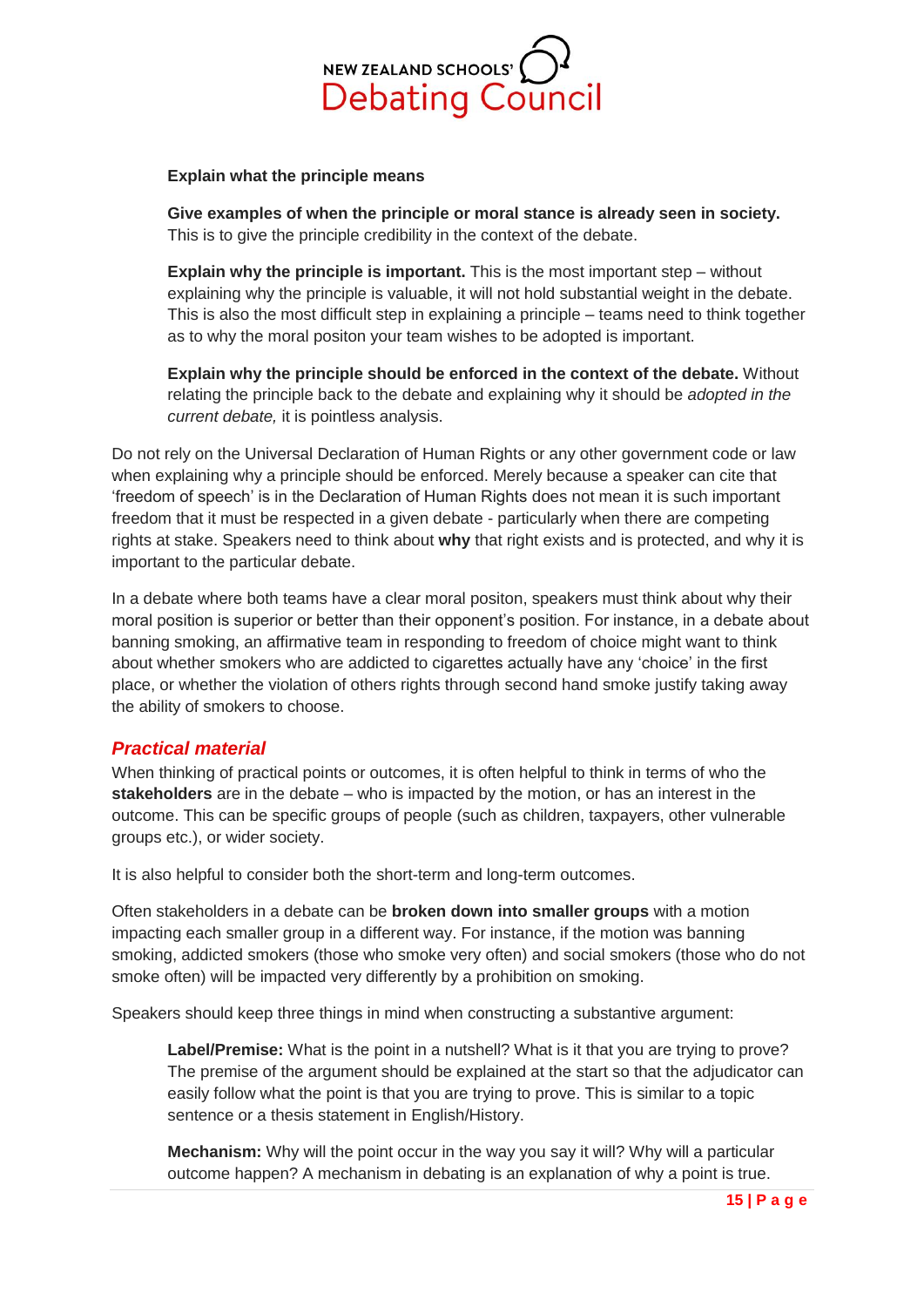

#### **Explain what the principle means**

**Give examples of when the principle or moral stance is already seen in society.**  This is to give the principle credibility in the context of the debate.

**Explain why the principle is important.** This is the most important step – without explaining why the principle is valuable, it will not hold substantial weight in the debate. This is also the most difficult step in explaining a principle – teams need to think together as to why the moral positon your team wishes to be adopted is important.

**Explain why the principle should be enforced in the context of the debate.** Without relating the principle back to the debate and explaining why it should be *adopted in the current debate,* it is pointless analysis.

Do not rely on the Universal Declaration of Human Rights or any other government code or law when explaining why a principle should be enforced. Merely because a speaker can cite that 'freedom of speech' is in the Declaration of Human Rights does not mean it is such important freedom that it must be respected in a given debate - particularly when there are competing rights at stake. Speakers need to think about **why** that right exists and is protected, and why it is important to the particular debate.

In a debate where both teams have a clear moral positon, speakers must think about why their moral position is superior or better than their opponent's position. For instance, in a debate about banning smoking, an affirmative team in responding to freedom of choice might want to think about whether smokers who are addicted to cigarettes actually have any 'choice' in the first place, or whether the violation of others rights through second hand smoke justify taking away the ability of smokers to choose.

### <span id="page-14-0"></span>*Practical material*

When thinking of practical points or outcomes, it is often helpful to think in terms of who the **stakeholders** are in the debate – who is impacted by the motion, or has an interest in the outcome. This can be specific groups of people (such as children, taxpayers, other vulnerable groups etc.), or wider society.

It is also helpful to consider both the short-term and long-term outcomes.

Often stakeholders in a debate can be **broken down into smaller groups** with a motion impacting each smaller group in a different way. For instance, if the motion was banning smoking, addicted smokers (those who smoke very often) and social smokers (those who do not smoke often) will be impacted very differently by a prohibition on smoking.

Speakers should keep three things in mind when constructing a substantive argument:

Label/Premise: What is the point in a nutshell? What is it that you are trying to prove? The premise of the argument should be explained at the start so that the adjudicator can easily follow what the point is that you are trying to prove. This is similar to a topic sentence or a thesis statement in English/History.

**Mechanism:** Why will the point occur in the way you say it will? Why will a particular outcome happen? A mechanism in debating is an explanation of why a point is true.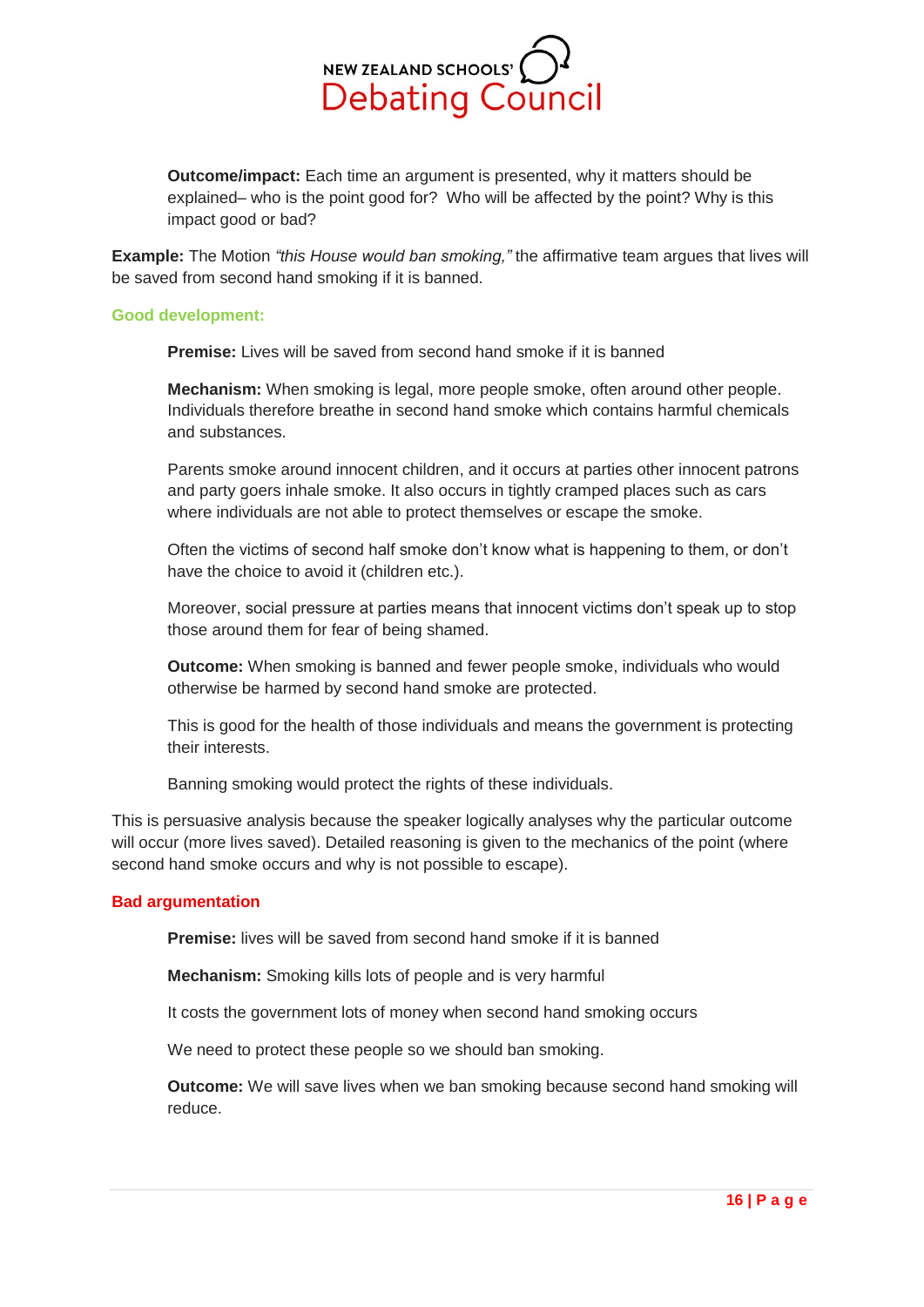

**Outcome/impact:** Each time an argument is presented, why it matters should be explained– who is the point good for? Who will be affected by the point? Why is this impact good or bad?

**Example:** The Motion *"this House would ban smoking,"* the affirmative team argues that lives will be saved from second hand smoking if it is banned.

#### **Good development:**

**Premise:** Lives will be saved from second hand smoke if it is banned

**Mechanism:** When smoking is legal, more people smoke, often around other people. Individuals therefore breathe in second hand smoke which contains harmful chemicals and substances.

Parents smoke around innocent children, and it occurs at parties other innocent patrons and party goers inhale smoke. It also occurs in tightly cramped places such as cars where individuals are not able to protect themselves or escape the smoke.

Often the victims of second half smoke don't know what is happening to them, or don't have the choice to avoid it (children etc.).

Moreover, social pressure at parties means that innocent victims don't speak up to stop those around them for fear of being shamed.

**Outcome:** When smoking is banned and fewer people smoke, individuals who would otherwise be harmed by second hand smoke are protected.

This is good for the health of those individuals and means the government is protecting their interests.

Banning smoking would protect the rights of these individuals.

This is persuasive analysis because the speaker logically analyses why the particular outcome will occur (more lives saved). Detailed reasoning is given to the mechanics of the point (where second hand smoke occurs and why is not possible to escape).

#### **Bad argumentation**

**Premise:** lives will be saved from second hand smoke if it is banned

**Mechanism:** Smoking kills lots of people and is very harmful

It costs the government lots of money when second hand smoking occurs

We need to protect these people so we should ban smoking.

**Outcome:** We will save lives when we ban smoking because second hand smoking will reduce.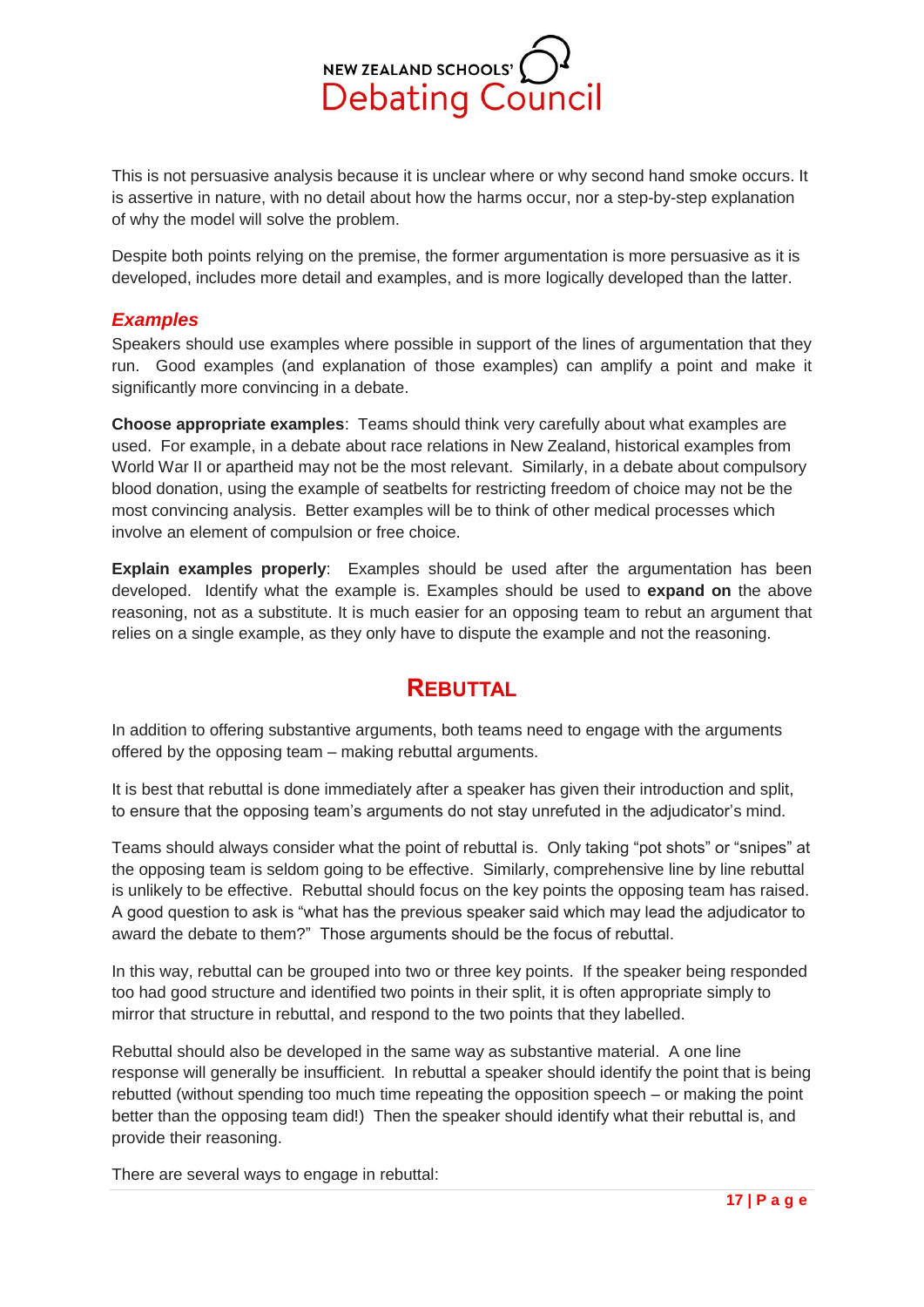

This is not persuasive analysis because it is unclear where or why second hand smoke occurs. It is assertive in nature, with no detail about how the harms occur, nor a step-by-step explanation of why the model will solve the problem.

Despite both points relying on the premise, the former argumentation is more persuasive as it is developed, includes more detail and examples, and is more logically developed than the latter.

## <span id="page-16-0"></span>*Examples*

Speakers should use examples where possible in support of the lines of argumentation that they run. Good examples (and explanation of those examples) can amplify a point and make it significantly more convincing in a debate.

**Choose appropriate examples**: Teams should think very carefully about what examples are used. For example, in a debate about race relations in New Zealand, historical examples from World War II or apartheid may not be the most relevant. Similarly, in a debate about compulsory blood donation, using the example of seatbelts for restricting freedom of choice may not be the most convincing analysis. Better examples will be to think of other medical processes which involve an element of compulsion or free choice.

**Explain examples properly**: Examples should be used after the argumentation has been developed. Identify what the example is. Examples should be used to **expand on** the above reasoning, not as a substitute. It is much easier for an opposing team to rebut an argument that relies on a single example, as they only have to dispute the example and not the reasoning.

## **REBUTTAL**

<span id="page-16-1"></span>In addition to offering substantive arguments, both teams need to engage with the arguments offered by the opposing team – making rebuttal arguments.

It is best that rebuttal is done immediately after a speaker has given their introduction and split, to ensure that the opposing team's arguments do not stay unrefuted in the adjudicator's mind.

Teams should always consider what the point of rebuttal is. Only taking "pot shots" or "snipes" at the opposing team is seldom going to be effective. Similarly, comprehensive line by line rebuttal is unlikely to be effective. Rebuttal should focus on the key points the opposing team has raised. A good question to ask is "what has the previous speaker said which may lead the adjudicator to award the debate to them?" Those arguments should be the focus of rebuttal.

In this way, rebuttal can be grouped into two or three key points. If the speaker being responded too had good structure and identified two points in their split, it is often appropriate simply to mirror that structure in rebuttal, and respond to the two points that they labelled.

Rebuttal should also be developed in the same way as substantive material. A one line response will generally be insufficient. In rebuttal a speaker should identify the point that is being rebutted (without spending too much time repeating the opposition speech – or making the point better than the opposing team did!) Then the speaker should identify what their rebuttal is, and provide their reasoning.

There are several ways to engage in rebuttal: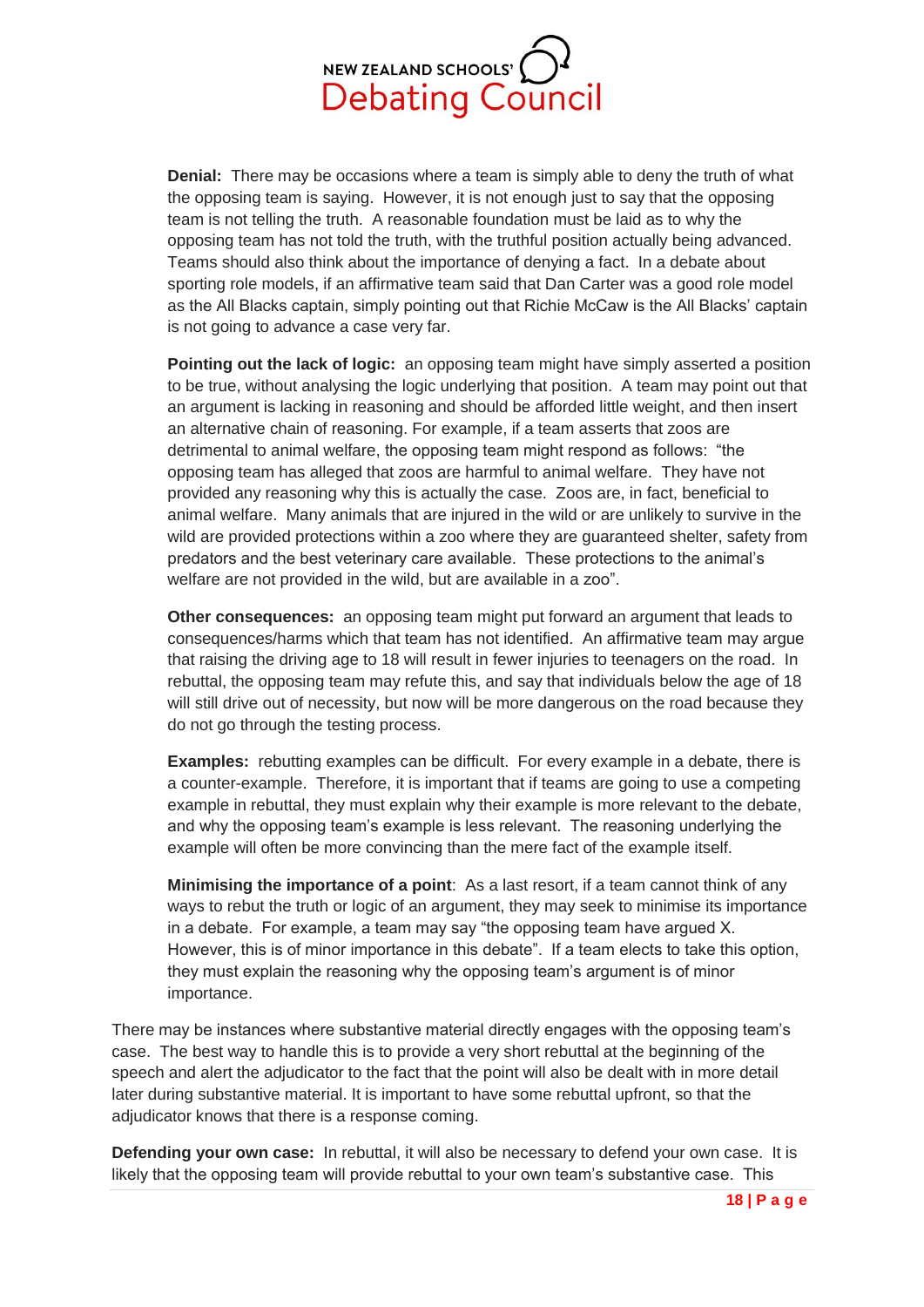

**Denial:** There may be occasions where a team is simply able to deny the truth of what the opposing team is saying. However, it is not enough just to say that the opposing team is not telling the truth. A reasonable foundation must be laid as to why the opposing team has not told the truth, with the truthful position actually being advanced. Teams should also think about the importance of denying a fact. In a debate about sporting role models, if an affirmative team said that Dan Carter was a good role model as the All Blacks captain, simply pointing out that Richie McCaw is the All Blacks' captain is not going to advance a case very far.

**Pointing out the lack of logic:** an opposing team might have simply asserted a position to be true, without analysing the logic underlying that position. A team may point out that an argument is lacking in reasoning and should be afforded little weight, and then insert an alternative chain of reasoning. For example, if a team asserts that zoos are detrimental to animal welfare, the opposing team might respond as follows: "the opposing team has alleged that zoos are harmful to animal welfare. They have not provided any reasoning why this is actually the case. Zoos are, in fact, beneficial to animal welfare. Many animals that are injured in the wild or are unlikely to survive in the wild are provided protections within a zoo where they are guaranteed shelter, safety from predators and the best veterinary care available. These protections to the animal's welfare are not provided in the wild, but are available in a zoo".

**Other consequences:** an opposing team might put forward an argument that leads to consequences/harms which that team has not identified. An affirmative team may argue that raising the driving age to 18 will result in fewer injuries to teenagers on the road. In rebuttal, the opposing team may refute this, and say that individuals below the age of 18 will still drive out of necessity, but now will be more dangerous on the road because they do not go through the testing process.

**Examples:** rebutting examples can be difficult. For every example in a debate, there is a counter-example. Therefore, it is important that if teams are going to use a competing example in rebuttal, they must explain why their example is more relevant to the debate, and why the opposing team's example is less relevant. The reasoning underlying the example will often be more convincing than the mere fact of the example itself.

**Minimising the importance of a point**: As a last resort, if a team cannot think of any ways to rebut the truth or logic of an argument, they may seek to minimise its importance in a debate. For example, a team may say "the opposing team have argued X. However, this is of minor importance in this debate". If a team elects to take this option, they must explain the reasoning why the opposing team's argument is of minor importance.

There may be instances where substantive material directly engages with the opposing team's case. The best way to handle this is to provide a very short rebuttal at the beginning of the speech and alert the adjudicator to the fact that the point will also be dealt with in more detail later during substantive material. It is important to have some rebuttal upfront, so that the adjudicator knows that there is a response coming.

**Defending your own case:** In rebuttal, it will also be necessary to defend your own case. It is likely that the opposing team will provide rebuttal to your own team's substantive case. This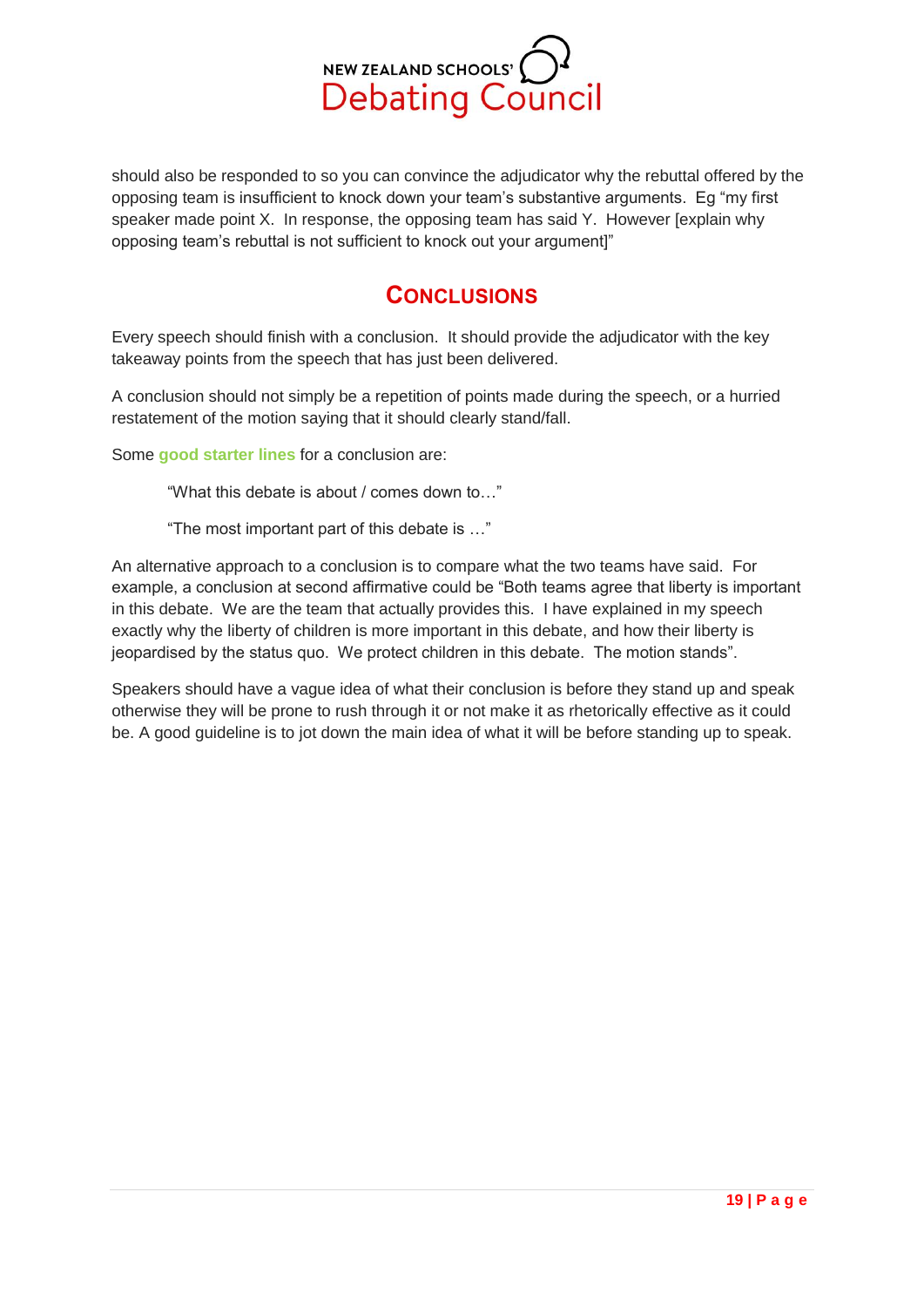

should also be responded to so you can convince the adjudicator why the rebuttal offered by the opposing team is insufficient to knock down your team's substantive arguments. Eg "my first speaker made point X. In response, the opposing team has said Y. However [explain why opposing team's rebuttal is not sufficient to knock out your argument]"

## **CONCLUSIONS**

<span id="page-18-0"></span>Every speech should finish with a conclusion. It should provide the adjudicator with the key takeaway points from the speech that has just been delivered.

A conclusion should not simply be a repetition of points made during the speech, or a hurried restatement of the motion saying that it should clearly stand/fall.

Some **good starter lines** for a conclusion are:

"What this debate is about / comes down to…"

"The most important part of this debate is …"

An alternative approach to a conclusion is to compare what the two teams have said. For example, a conclusion at second affirmative could be "Both teams agree that liberty is important in this debate. We are the team that actually provides this. I have explained in my speech exactly why the liberty of children is more important in this debate, and how their liberty is jeopardised by the status quo. We protect children in this debate. The motion stands".

Speakers should have a vague idea of what their conclusion is before they stand up and speak otherwise they will be prone to rush through it or not make it as rhetorically effective as it could be. A good guideline is to jot down the main idea of what it will be before standing up to speak.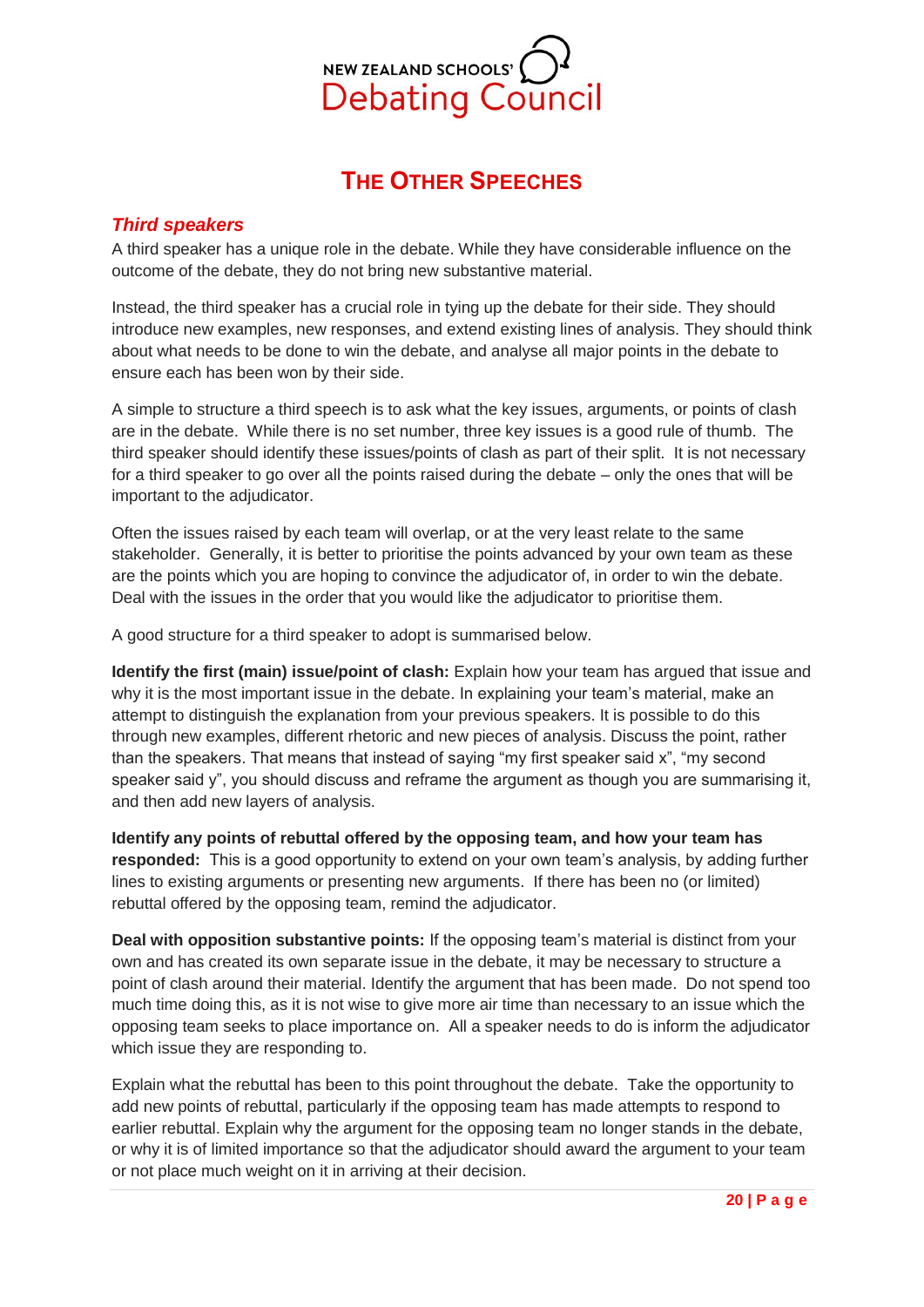

# **THE OTHER SPEECHES**

## <span id="page-19-1"></span><span id="page-19-0"></span>*Third speakers*

A third speaker has a unique role in the debate. While they have considerable influence on the outcome of the debate, they do not bring new substantive material.

Instead, the third speaker has a crucial role in tying up the debate for their side. They should introduce new examples, new responses, and extend existing lines of analysis. They should think about what needs to be done to win the debate, and analyse all major points in the debate to ensure each has been won by their side.

A simple to structure a third speech is to ask what the key issues, arguments, or points of clash are in the debate. While there is no set number, three key issues is a good rule of thumb. The third speaker should identify these issues/points of clash as part of their split. It is not necessary for a third speaker to go over all the points raised during the debate – only the ones that will be important to the adjudicator.

Often the issues raised by each team will overlap, or at the very least relate to the same stakeholder. Generally, it is better to prioritise the points advanced by your own team as these are the points which you are hoping to convince the adjudicator of, in order to win the debate. Deal with the issues in the order that you would like the adjudicator to prioritise them.

A good structure for a third speaker to adopt is summarised below.

**Identify the first (main) issue/point of clash:** Explain how your team has argued that issue and why it is the most important issue in the debate. In explaining your team's material, make an attempt to distinguish the explanation from your previous speakers. It is possible to do this through new examples, different rhetoric and new pieces of analysis. Discuss the point, rather than the speakers. That means that instead of saying "my first speaker said x", "my second speaker said y", you should discuss and reframe the argument as though you are summarising it, and then add new layers of analysis.

**Identify any points of rebuttal offered by the opposing team, and how your team has responded:** This is a good opportunity to extend on your own team's analysis, by adding further lines to existing arguments or presenting new arguments. If there has been no (or limited) rebuttal offered by the opposing team, remind the adjudicator.

**Deal with opposition substantive points:** If the opposing team's material is distinct from your own and has created its own separate issue in the debate, it may be necessary to structure a point of clash around their material. Identify the argument that has been made. Do not spend too much time doing this, as it is not wise to give more air time than necessary to an issue which the opposing team seeks to place importance on. All a speaker needs to do is inform the adjudicator which issue they are responding to.

Explain what the rebuttal has been to this point throughout the debate. Take the opportunity to add new points of rebuttal, particularly if the opposing team has made attempts to respond to earlier rebuttal. Explain why the argument for the opposing team no longer stands in the debate, or why it is of limited importance so that the adjudicator should award the argument to your team or not place much weight on it in arriving at their decision.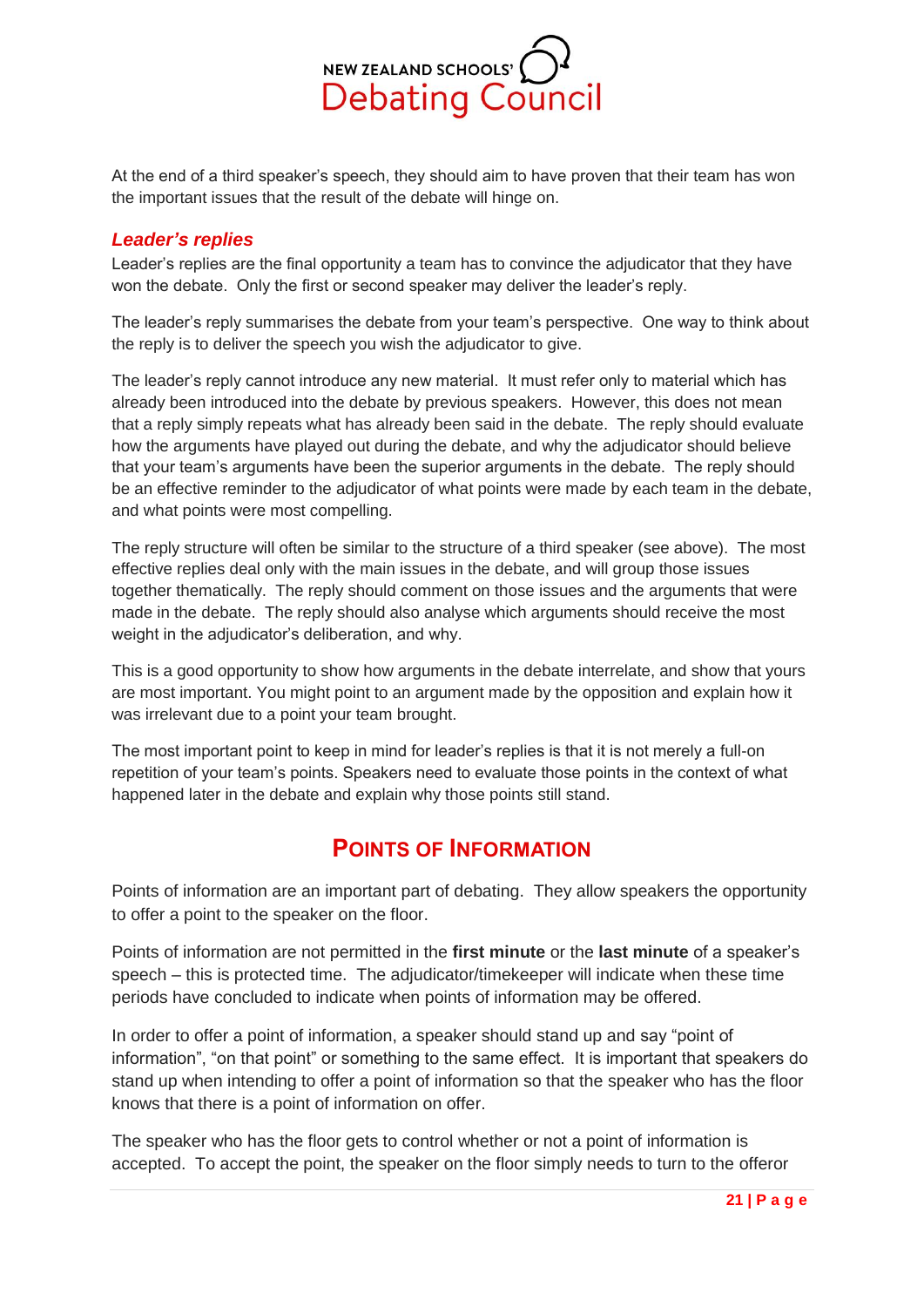

At the end of a third speaker's speech, they should aim to have proven that their team has won the important issues that the result of the debate will hinge on.

## <span id="page-20-0"></span>*Leader's replies*

Leader's replies are the final opportunity a team has to convince the adjudicator that they have won the debate. Only the first or second speaker may deliver the leader's reply.

The leader's reply summarises the debate from your team's perspective. One way to think about the reply is to deliver the speech you wish the adjudicator to give.

The leader's reply cannot introduce any new material. It must refer only to material which has already been introduced into the debate by previous speakers. However, this does not mean that a reply simply repeats what has already been said in the debate. The reply should evaluate how the arguments have played out during the debate, and why the adjudicator should believe that your team's arguments have been the superior arguments in the debate. The reply should be an effective reminder to the adjudicator of what points were made by each team in the debate, and what points were most compelling.

The reply structure will often be similar to the structure of a third speaker (see above). The most effective replies deal only with the main issues in the debate, and will group those issues together thematically. The reply should comment on those issues and the arguments that were made in the debate. The reply should also analyse which arguments should receive the most weight in the adjudicator's deliberation, and why.

This is a good opportunity to show how arguments in the debate interrelate, and show that yours are most important. You might point to an argument made by the opposition and explain how it was irrelevant due to a point your team brought.

The most important point to keep in mind for leader's replies is that it is not merely a full-on repetition of your team's points. Speakers need to evaluate those points in the context of what happened later in the debate and explain why those points still stand.

## **POINTS OF INFORMATION**

<span id="page-20-1"></span>Points of information are an important part of debating. They allow speakers the opportunity to offer a point to the speaker on the floor.

Points of information are not permitted in the **first minute** or the **last minute** of a speaker's speech – this is protected time. The adjudicator/timekeeper will indicate when these time periods have concluded to indicate when points of information may be offered.

In order to offer a point of information, a speaker should stand up and say "point of information", "on that point" or something to the same effect. It is important that speakers do stand up when intending to offer a point of information so that the speaker who has the floor knows that there is a point of information on offer.

The speaker who has the floor gets to control whether or not a point of information is accepted. To accept the point, the speaker on the floor simply needs to turn to the offeror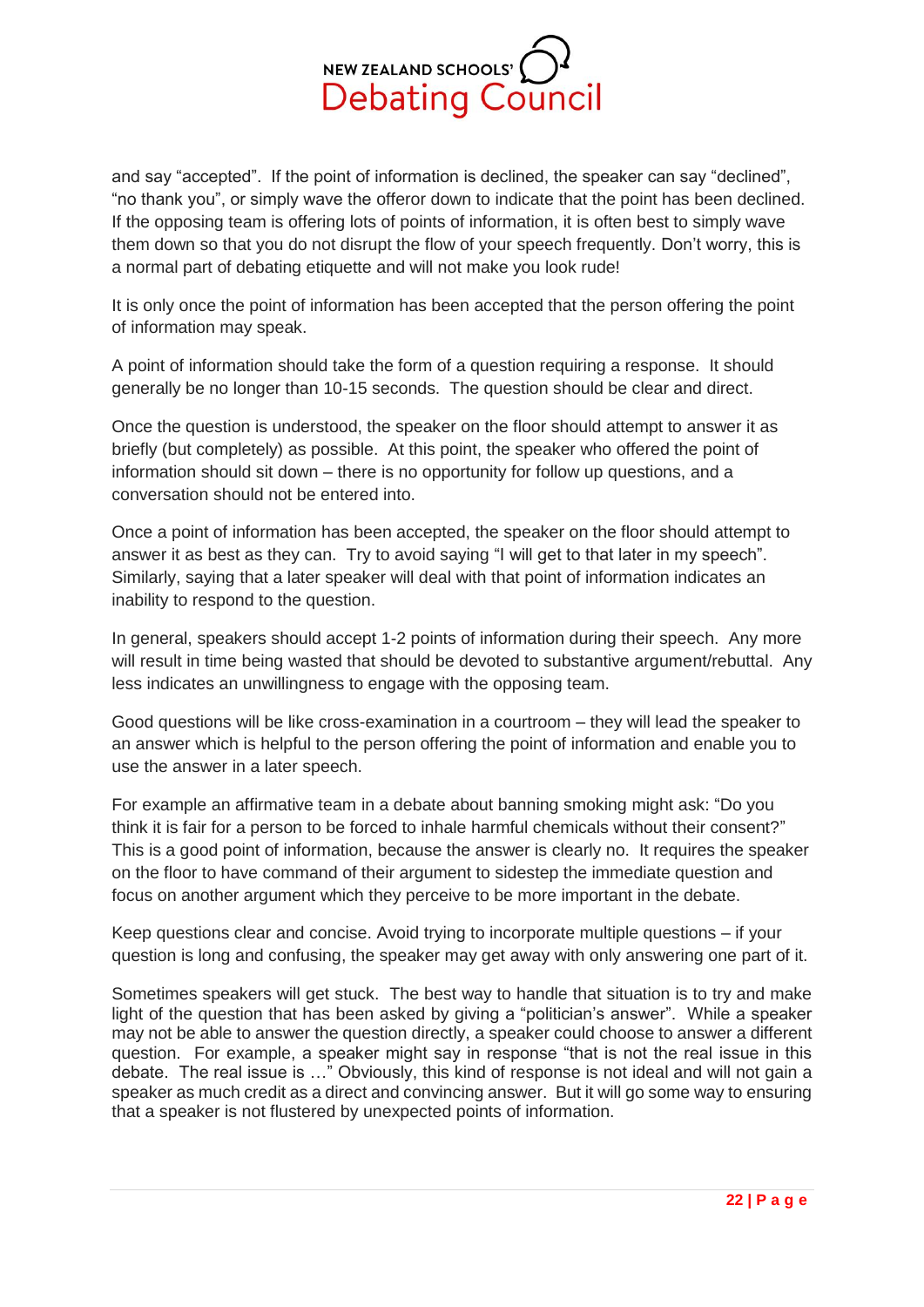

and say "accepted". If the point of information is declined, the speaker can say "declined", "no thank you", or simply wave the offeror down to indicate that the point has been declined. If the opposing team is offering lots of points of information, it is often best to simply wave them down so that you do not disrupt the flow of your speech frequently. Don't worry, this is a normal part of debating etiquette and will not make you look rude!

It is only once the point of information has been accepted that the person offering the point of information may speak.

A point of information should take the form of a question requiring a response. It should generally be no longer than 10-15 seconds. The question should be clear and direct.

Once the question is understood, the speaker on the floor should attempt to answer it as briefly (but completely) as possible. At this point, the speaker who offered the point of information should sit down – there is no opportunity for follow up questions, and a conversation should not be entered into.

Once a point of information has been accepted, the speaker on the floor should attempt to answer it as best as they can. Try to avoid saying "I will get to that later in my speech". Similarly, saying that a later speaker will deal with that point of information indicates an inability to respond to the question.

In general, speakers should accept 1-2 points of information during their speech. Any more will result in time being wasted that should be devoted to substantive argument/rebuttal. Any less indicates an unwillingness to engage with the opposing team.

Good questions will be like cross-examination in a courtroom – they will lead the speaker to an answer which is helpful to the person offering the point of information and enable you to use the answer in a later speech.

For example an affirmative team in a debate about banning smoking might ask: "Do you think it is fair for a person to be forced to inhale harmful chemicals without their consent?" This is a good point of information, because the answer is clearly no. It requires the speaker on the floor to have command of their argument to sidestep the immediate question and focus on another argument which they perceive to be more important in the debate.

Keep questions clear and concise. Avoid trying to incorporate multiple questions – if your question is long and confusing, the speaker may get away with only answering one part of it.

Sometimes speakers will get stuck. The best way to handle that situation is to try and make light of the question that has been asked by giving a "politician's answer". While a speaker may not be able to answer the question directly, a speaker could choose to answer a different question. For example, a speaker might say in response "that is not the real issue in this debate. The real issue is …" Obviously, this kind of response is not ideal and will not gain a speaker as much credit as a direct and convincing answer. But it will go some way to ensuring that a speaker is not flustered by unexpected points of information.